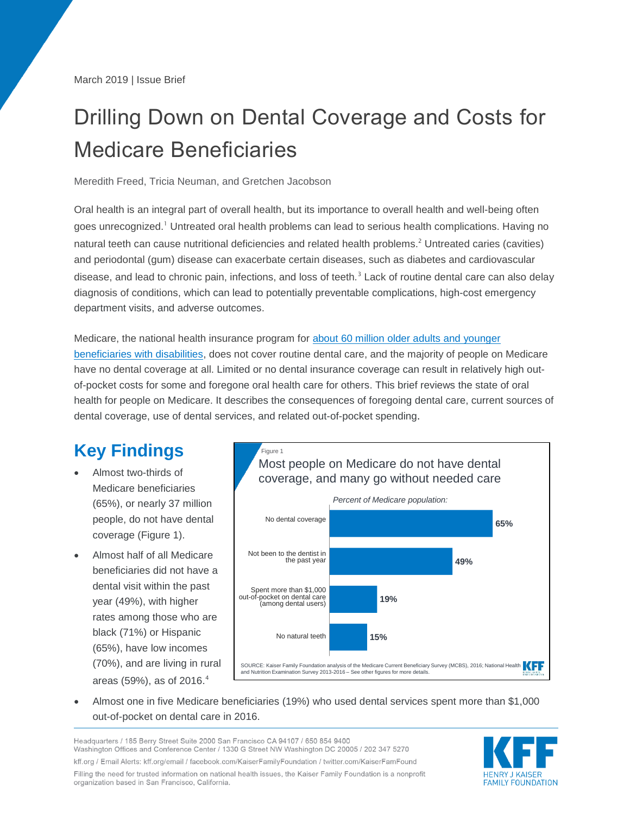March 2019 | Issue Brief

# Drilling Down on Dental Coverage and Costs for Medicare Beneficiaries

#### Meredith Freed, Tricia Neuman, and Gretchen Jacobson

Oral health is an integral part of overall health, but its importance to overall health and well-being often goes unrecognized.<sup>1</sup> Untreated oral health problems can lead to serious health complications. Having no natural teeth can cause nutritional deficiencies and related health problems.<sup>2</sup> Untreated caries (cavities) and periodontal (gum) disease can exacerbate certain diseases, such as diabetes and cardiovascular disease, and lead to chronic pain, infections, and loss of teeth.<sup>3</sup> Lack of routine dental care can also delay diagnosis of conditions, which can lead to potentially preventable complications, high-cost emergency department visits, and adverse outcomes.

Medicare, the national health insurance program for [about 60 million older adults and younger](https://www.kff.org/medicare/issue-brief/an-overview-of-medicare/)  [beneficiaries with disabilities,](https://www.kff.org/medicare/issue-brief/an-overview-of-medicare/) does not cover routine dental care, and the majority of people on Medicare have no dental coverage at all. Limited or no dental insurance coverage can result in relatively high outof-pocket costs for some and foregone oral health care for others. This brief reviews the state of oral health for people on Medicare. It describes the consequences of foregoing dental care, current sources of dental coverage, use of dental services, and related out-of-pocket spending.

# **Key Findings**

- Almost two-thirds of Medicare beneficiaries (65%), or nearly 37 million people, do not have dental coverage (Figure 1).
- Almost half of all Medicare beneficiaries did not have a dental visit within the past year (49%), with higher rates among those who are black (71%) or Hispanic (65%), have low incomes (70%), and are living in rural areas (59%), as of 2016. 4



 Almost one in five Medicare beneficiaries (19%) who used dental services spent more than \$1,000 out-of-pocket on dental care in 2016.

Headquarters / 185 Berry Street Suite 2000 San Francisco CA 94107 / 650 854 9400 Washington Offices and Conference Center / 1330 G Street NW Washington DC 20005 / 202 347 5270 kff.org / Email Alerts: kff.org/email / facebook.com/KaiserFamilyFoundation / twitter.com/KaiserFamFound Filling the need for trusted information on national health issues, the Kaiser Family Foundation is a nonprofit organization based in San Francisco, California.

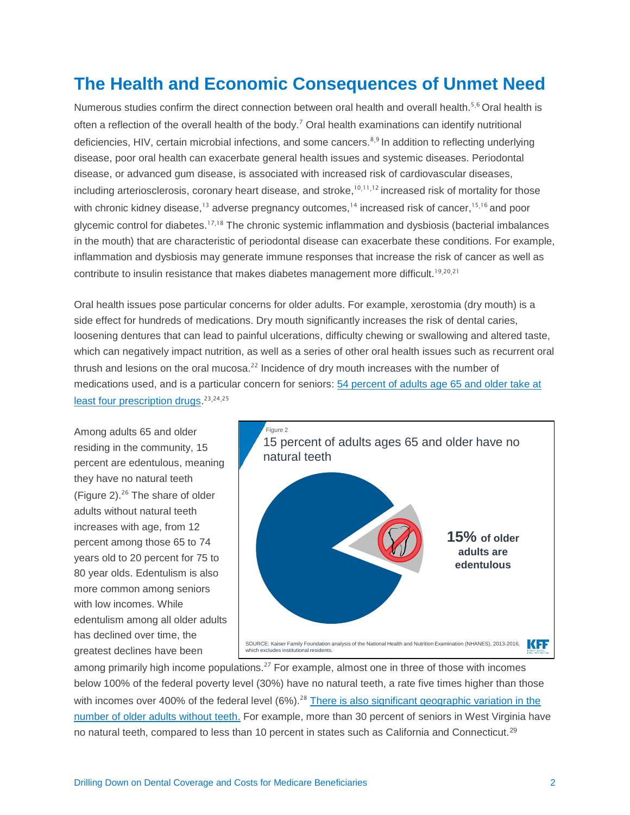# **The Health and Economic Consequences of Unmet Need**

Numerous studies confirm the direct connection between oral health and overall health.<sup>5,6</sup> Oral health is often a reflection of the overall health of the body.<sup>7</sup> Oral health examinations can identify nutritional deficiencies, HIV, certain microbial infections, and some cancers.<sup>8,9</sup> In addition to reflecting underlying disease, poor oral health can exacerbate general health issues and systemic diseases. Periodontal disease, or advanced gum disease, is associated with increased risk of cardiovascular diseases, including arteriosclerosis, coronary heart disease, and stroke,<sup>10,11,12</sup> increased risk of mortality for those with chronic kidney disease,<sup>13</sup> adverse pregnancy outcomes,<sup>14</sup> increased risk of cancer,<sup>15,16</sup> and poor glycemic control for diabetes.<sup>17,18</sup> The chronic systemic inflammation and dysbiosis (bacterial imbalances in the mouth) that are characteristic of periodontal disease can exacerbate these conditions. For example, inflammation and dysbiosis may generate immune responses that increase the risk of cancer as well as contribute to insulin resistance that makes diabetes management more difficult.<sup>19,20,21</sup>

Oral health issues pose particular concerns for older adults. For example, xerostomia (dry mouth) is a side effect for hundreds of medications. Dry mouth significantly increases the risk of dental caries, loosening dentures that can lead to painful ulcerations, difficulty chewing or swallowing and altered taste, which can negatively impact nutrition, as well as a series of other oral health issues such as recurrent oral thrush and lesions on the oral mucosa. $22$  Incidence of dry mouth increases with the number of medications used, and is a particular concern for seniors: 54 [percent of adults age 65](https://www.kff.org/health-reform/poll-finding/kff-health-tracking-poll-february-2019-prescription-drugs/) and older take at least four [prescription drugs.](https://www.kff.org/health-reform/poll-finding/kff-health-tracking-poll-february-2019-prescription-drugs/)<sup>23,24,25</sup>

Among adults 65 and older residing in the community, 15 percent are edentulous, meaning they have no natural teeth (Figure 2). $^{26}$  The share of older adults without natural teeth increases with age, from 12 percent among those 65 to 74 years old to 20 percent for 75 to 80 year olds. Edentulism is also more common among seniors with low incomes. While edentulism among all older adults has declined over time, the greatest declines have been



among primarily high income populations.<sup>27</sup> For example, almost one in three of those with incomes below 100% of the federal poverty level (30%) have no natural teeth, a rate five times higher than those with incomes over 400% of the federal level (6%).<sup>28</sup> [There is also significant geographic variation in the](https://www.kff.org/other/state-indicator/percent-who-had-all-teeth-extracted/?currentTimeframe=0&sortModel=%7B%22colId%22:%22Elderly%20Who%20Have%20Had%20All%20Teeth%20Extracted%22,%22sort%22:%22desc%22%7D) [number of older adults without](https://www.kff.org/other/state-indicator/percent-who-had-all-teeth-extracted/?currentTimeframe=0&sortModel=%7B%22colId%22:%22Elderly%20Who%20Have%20Had%20All%20Teeth%20Extracted%22,%22sort%22:%22desc%22%7D) teeth. For example, more than 30 percent of seniors in West Virginia have no natural teeth, compared to less than 10 percent in states such as California and Connecticut.<sup>29</sup>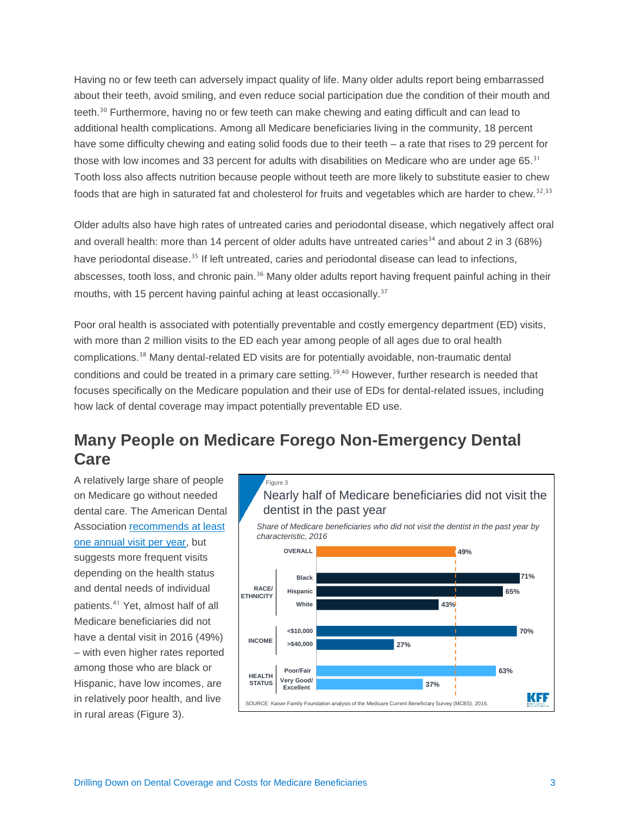Having no or few teeth can adversely impact quality of life. Many older adults report being embarrassed about their teeth, avoid smiling, and even reduce social participation due the condition of their mouth and teeth.<sup>30</sup> Furthermore, having no or few teeth can make chewing and eating difficult and can lead to additional health complications. Among all Medicare beneficiaries living in the community, 18 percent have some difficulty chewing and eating solid foods due to their teeth – a rate that rises to 29 percent for those with low incomes and 33 percent for adults with disabilities on Medicare who are under age 65.<sup>31</sup> Tooth loss also affects nutrition because people without teeth are more likely to substitute easier to chew foods that are high in saturated fat and cholesterol for fruits and vegetables which are harder to chew.<sup>32,33</sup>

Older adults also have high rates of untreated caries and periodontal disease, which negatively affect oral and overall health: more than 14 percent of older adults have untreated caries<sup>34</sup> and about 2 in 3 (68%) have periodontal disease.<sup>35</sup> If left untreated, caries and periodontal disease can lead to infections, abscesses, tooth loss, and chronic pain.<sup>36</sup> Many older adults report having frequent painful aching in their mouths, with 15 percent having painful aching at least occasionally.<sup>37</sup>

Poor oral health is associated with potentially preventable and costly emergency department (ED) visits, with more than 2 million visits to the ED each year among people of all ages due to oral health complications.<sup>38</sup> Many dental-related ED visits are for potentially avoidable, non-traumatic dental conditions and could be treated in a primary care setting.<sup>39,40</sup> However, further research is needed that focuses specifically on the Medicare population and their use of EDs for dental-related issues, including how lack of dental coverage may impact potentially preventable ED use.

# **Many People on Medicare Forego Non-Emergency Dental Care**

A relatively large share of people on Medicare go without needed dental care. The American Dental Association [recommends at least](https://www.ada.org/en/press-room/news-releases/2013-archive/june/american-dental-association-statement-on-regular-dental-visits)  [one annual visit per year,](https://www.ada.org/en/press-room/news-releases/2013-archive/june/american-dental-association-statement-on-regular-dental-visits) but suggests more frequent visits depending on the health status and dental needs of individual patients.<sup>41</sup> Yet, almost half of all Medicare beneficiaries did not have a dental visit in 2016 (49%) – with even higher rates reported among those who are black or Hispanic, have low incomes, are in relatively poor health, and live in rural areas (Figure 3).

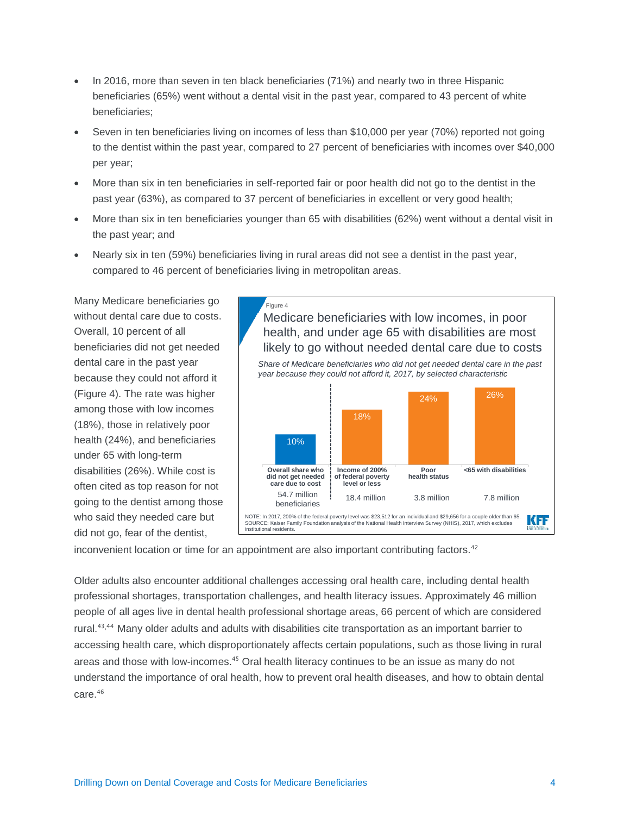- In 2016, more than seven in ten black beneficiaries (71%) and nearly two in three Hispanic beneficiaries (65%) went without a dental visit in the past year, compared to 43 percent of white beneficiaries;
- Seven in ten beneficiaries living on incomes of less than \$10,000 per year (70%) reported not going to the dentist within the past year, compared to 27 percent of beneficiaries with incomes over \$40,000 per year;
- More than six in ten beneficiaries in self-reported fair or poor health did not go to the dentist in the past year (63%), as compared to 37 percent of beneficiaries in excellent or very good health;
- More than six in ten beneficiaries younger than 65 with disabilities (62%) went without a dental visit in the past year; and
- Nearly six in ten (59%) beneficiaries living in rural areas did not see a dentist in the past year, compared to 46 percent of beneficiaries living in metropolitan areas.

Many Medicare beneficiaries go without dental care due to costs. Overall, 10 percent of all beneficiaries did not get needed dental care in the past year because they could not afford it (Figure 4). The rate was higher among those with low incomes (18%), those in relatively poor health (24%), and beneficiaries under 65 with long-term disabilities (26%). While cost is often cited as top reason for not going to the dentist among those who said they needed care but did not go, fear of the dentist,



inconvenient location or time for an appointment are also important contributing factors.<sup>42</sup>

Older adults also encounter additional challenges accessing oral health care, including dental health professional shortages, transportation challenges, and health literacy issues. Approximately 46 million people of all ages live in dental health professional shortage areas, 66 percent of which are considered rural.<sup>43,44</sup> Many older adults and adults with disabilities cite transportation as an important barrier to accessing health care, which disproportionately affects certain populations, such as those living in rural areas and those with low-incomes.<sup>45</sup> Oral health literacy continues to be an issue as many do not understand the importance of oral health, how to prevent oral health diseases, and how to obtain dental care. 46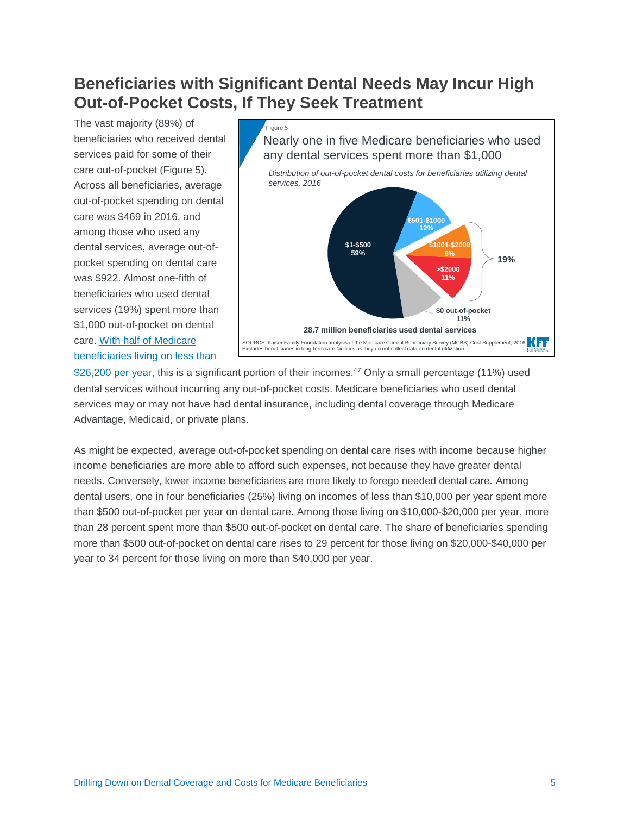# **Beneficiaries with Significant Dental Needs May Incur High Out-of-Pocket Costs, If They Seek Treatment**

The vast majority (89%) of beneficiaries who received dental services paid for some of their care out-of-pocket (Figure 5). Across all beneficiaries, average out-of-pocket spending on dental care was \$469 in 2016, and among those who used any dental services, average out-ofpocket spending on dental care was \$922. Almost one-fifth of beneficiaries who used dental services (19%) spent more than \$1,000 out-of-pocket on dental care. [With half of Medicare](https://www.kff.org/medicare/issue-brief/income-and-assets-of-medicare-beneficiaries-2016-2035/)  [beneficiaries living on](https://www.kff.org/medicare/issue-brief/income-and-assets-of-medicare-beneficiaries-2016-2035/) less than



[\\$26,200 per year,](https://www.kff.org/medicare/issue-brief/income-and-assets-of-medicare-beneficiaries-2016-2035/) this is a significant portion of their incomes.<sup>47</sup> Only a small percentage (11%) used dental services without incurring any out-of-pocket costs. Medicare beneficiaries who used dental services may or may not have had dental insurance, including dental coverage through Medicare Advantage, Medicaid, or private plans.

As might be expected, average out-of-pocket spending on dental care rises with income because higher income beneficiaries are more able to afford such expenses, not because they have greater dental needs. Conversely, lower income beneficiaries are more likely to forego needed dental care. Among dental users, one in four beneficiaries (25%) living on incomes of less than \$10,000 per year spent more than \$500 out-of-pocket per year on dental care. Among those living on \$10,000-\$20,000 per year, more than 28 percent spent more than \$500 out-of-pocket on dental care. The share of beneficiaries spending more than \$500 out-of-pocket on dental care rises to 29 percent for those living on \$20,000-\$40,000 per year to 34 percent for those living on more than \$40,000 per year.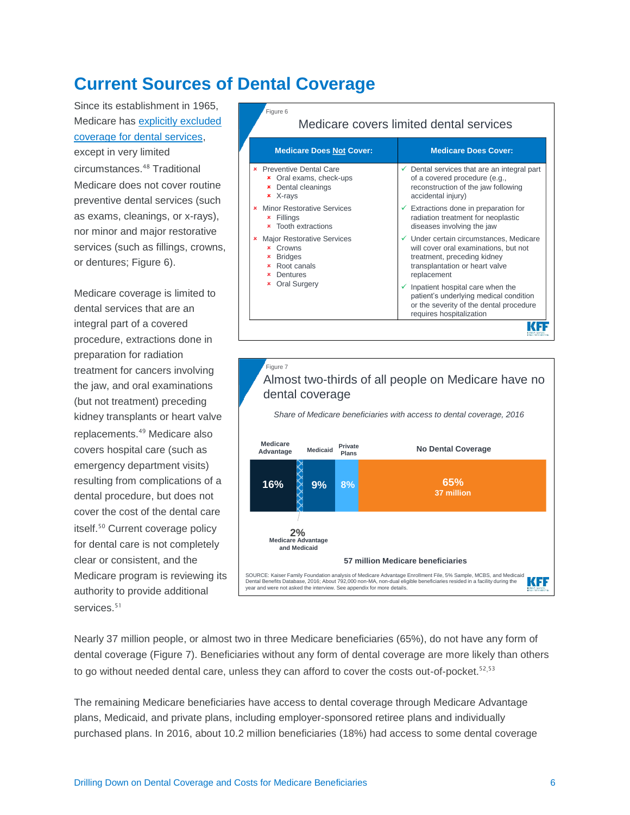# **Current Sources of Dental Coverage**

Since its establishment in 1965, Medicare has [explicitly excluded](https://www.cms.gov/Medicare/Coverage/MedicareDentalCoverage/index.html)  [coverage for dental services,](https://www.cms.gov/Medicare/Coverage/MedicareDentalCoverage/index.html) except in very limited circumstances.<sup>48</sup> Traditional Medicare does not cover routine preventive dental services (such as exams, cleanings, or x-rays), nor minor and major restorative services (such as fillings, crowns, or dentures; Figure 6).

Medicare coverage is limited to dental services that are an integral part of a covered procedure, extractions done in preparation for radiation treatment for cancers involving the jaw, and oral examinations (but not treatment) preceding kidney transplants or heart valve replacements.<sup>49</sup> Medicare also covers hospital care (such as emergency department visits) resulting from complications of a dental procedure, but does not cover the cost of the dental care itself.<sup>50</sup> Current coverage policy for dental care is not completely clear or consistent, and the Medicare program is reviewing its authority to provide additional services.<sup>51</sup>



#### Figure 7 Almost two-thirds of all people on Medicare have no dental coverage

*Share of Medicare beneficiaries with access to dental coverage, 2016*



Nearly 37 million people, or almost two in three Medicare beneficiaries (65%), do not have any form of dental coverage (Figure 7). Beneficiaries without any form of dental coverage are more likely than others to go without needed dental care, unless they can afford to cover the costs out-of-pocket.<sup>52,53</sup>

The remaining Medicare beneficiaries have access to dental coverage through Medicare Advantage plans, Medicaid, and private plans, including employer-sponsored retiree plans and individually purchased plans. In 2016, about 10.2 million beneficiaries (18%) had access to some dental coverage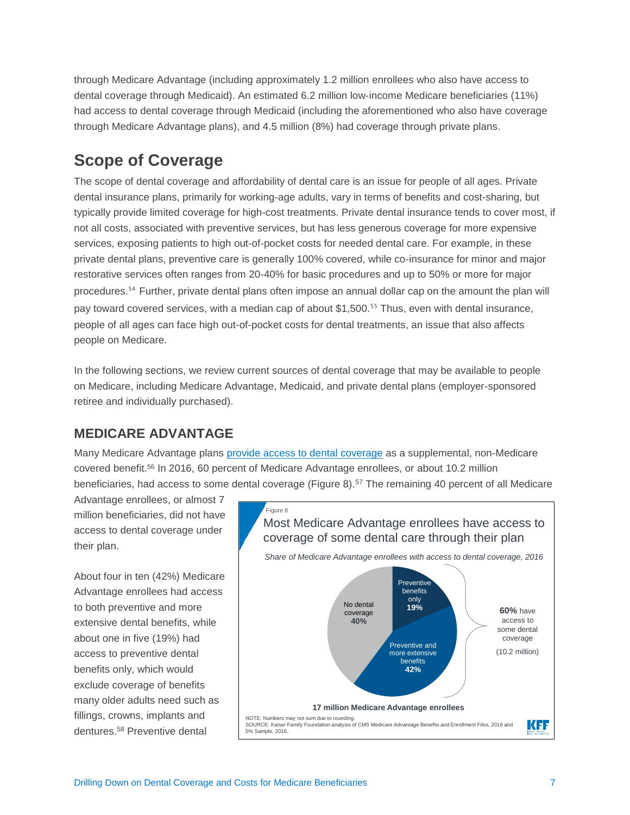through Medicare Advantage (including approximately 1.2 million enrollees who also have access to dental coverage through Medicaid). An estimated 6.2 million low-income Medicare beneficiaries (11%) had access to dental coverage through Medicaid (including the aforementioned who also have coverage through Medicare Advantage plans), and 4.5 million (8%) had coverage through private plans.

### **Scope of Coverage**

The scope of dental coverage and affordability of dental care is an issue for people of all ages. Private dental insurance plans, primarily for working-age adults, vary in terms of benefits and cost-sharing, but typically provide limited coverage for high-cost treatments. Private dental insurance tends to cover most, if not all costs, associated with preventive services, but has less generous coverage for more expensive services, exposing patients to high out-of-pocket costs for needed dental care. For example, in these private dental plans, preventive care is generally 100% covered, while co-insurance for minor and major restorative services often ranges from 20-40% for basic procedures and up to 50% or more for major procedures. <sup>54</sup> Further, private dental plans often impose an annual dollar cap on the amount the plan will pay toward covered services, with a median cap of about \$1,500.<sup>55</sup> Thus, even with dental insurance, people of all ages can face high out-of-pocket costs for dental treatments, an issue that also affects people on Medicare.

In the following sections, we review current sources of dental coverage that may be available to people on Medicare, including Medicare Advantage, Medicaid, and private dental plans (employer-sponsored retiree and individually purchased).

#### **MEDICARE ADVANTAGE**

Many Medicare Advantage plans provide access [to dental coverage](https://www.kff.org/medicare/issue-brief/a-dozen-facts-about-medicare-advantage/) as a supplemental, non-Medicare covered benefit. <sup>56</sup> In 2016, 60 percent of Medicare Advantage enrollees, or about 10.2 million beneficiaries, had access to some dental coverage (Figure 8).<sup>57</sup> The remaining 40 percent of all Medicare

Advantage enrollees, or almost 7 million beneficiaries, did not have access to dental coverage under their plan.

About four in ten (42%) Medicare Advantage enrollees had access to both preventive and more extensive dental benefits, while about one in five (19%) had access to preventive dental benefits only, which would exclude coverage of benefits many older adults need such as fillings, crowns, implants and dentures.<sup>58</sup> Preventive dental

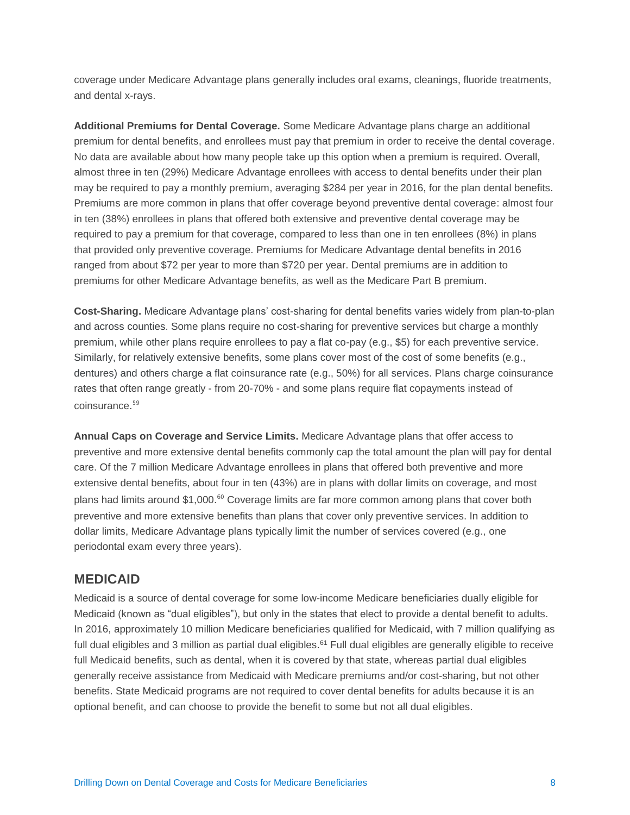coverage under Medicare Advantage plans generally includes oral exams, cleanings, fluoride treatments, and dental x-rays.

**Additional Premiums for Dental Coverage.** Some Medicare Advantage plans charge an additional premium for dental benefits, and enrollees must pay that premium in order to receive the dental coverage. No data are available about how many people take up this option when a premium is required. Overall, almost three in ten (29%) Medicare Advantage enrollees with access to dental benefits under their plan may be required to pay a monthly premium, averaging \$284 per year in 2016, for the plan dental benefits. Premiums are more common in plans that offer coverage beyond preventive dental coverage: almost four in ten (38%) enrollees in plans that offered both extensive and preventive dental coverage may be required to pay a premium for that coverage, compared to less than one in ten enrollees (8%) in plans that provided only preventive coverage. Premiums for Medicare Advantage dental benefits in 2016 ranged from about \$72 per year to more than \$720 per year. Dental premiums are in addition to premiums for other Medicare Advantage benefits, as well as the Medicare Part B premium.

**Cost-Sharing.** Medicare Advantage plans' cost-sharing for dental benefits varies widely from plan-to-plan and across counties. Some plans require no cost-sharing for preventive services but charge a monthly premium, while other plans require enrollees to pay a flat co-pay (e.g., \$5) for each preventive service. Similarly, for relatively extensive benefits, some plans cover most of the cost of some benefits (e.g., dentures) and others charge a flat coinsurance rate (e.g., 50%) for all services. Plans charge coinsurance rates that often range greatly - from 20-70% - and some plans require flat copayments instead of coinsurance. 59

**Annual Caps on Coverage and Service Limits.** Medicare Advantage plans that offer access to preventive and more extensive dental benefits commonly cap the total amount the plan will pay for dental care. Of the 7 million Medicare Advantage enrollees in plans that offered both preventive and more extensive dental benefits, about four in ten (43%) are in plans with dollar limits on coverage, and most plans had limits around \$1,000. <sup>60</sup> Coverage limits are far more common among plans that cover both preventive and more extensive benefits than plans that cover only preventive services. In addition to dollar limits, Medicare Advantage plans typically limit the number of services covered (e.g., one periodontal exam every three years).

#### **MEDICAID**

Medicaid is a source of dental coverage for some low-income Medicare beneficiaries dually eligible for Medicaid (known as "dual eligibles"), but only in the states that elect to provide a dental benefit to adults. In 2016, approximately 10 million Medicare beneficiaries qualified for Medicaid, with 7 million qualifying as full dual eligibles and 3 million as partial dual eligibles.<sup>61</sup> Full dual eligibles are generally eligible to receive full Medicaid benefits, such as dental, when it is covered by that state, whereas partial dual eligibles generally receive assistance from Medicaid with Medicare premiums and/or cost-sharing, but not other benefits. State Medicaid programs are not required to cover dental benefits for adults because it is an optional benefit, and can choose to provide the benefit to some but not all dual eligibles.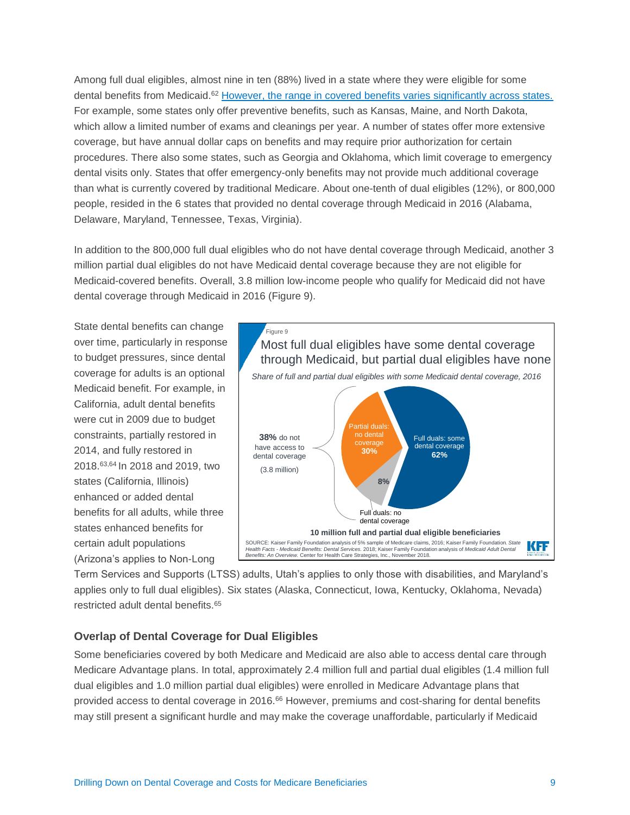Among full dual eligibles, almost nine in ten (88%) lived in a state where they were eligible for some dental benefits from Medicaid.<sup>62</sup> [However, the range in covered benefits varies significantly across states.](https://www.kff.org/medicaid/state-indicator/dental-services/?currentTimeframe=0&sortModel=%7B%22colId%22:%22Location%22,%22sort%22:%22asc%22%7D) For example, some states only offer preventive benefits, such as Kansas, Maine, and North Dakota, which allow a limited number of exams and cleanings per year. A number of states offer more extensive coverage, but have annual dollar caps on benefits and may require prior authorization for certain procedures. There also some states, such as Georgia and Oklahoma, which limit coverage to emergency dental visits only. States that offer emergency-only benefits may not provide much additional coverage than what is currently covered by traditional Medicare. About one-tenth of dual eligibles (12%), or 800,000 people, resided in the 6 states that provided no dental coverage through Medicaid in 2016 (Alabama, Delaware, Maryland, Tennessee, Texas, Virginia).

In addition to the 800,000 full dual eligibles who do not have dental coverage through Medicaid, another 3 million partial dual eligibles do not have Medicaid dental coverage because they are not eligible for Medicaid-covered benefits. Overall, 3.8 million low-income people who qualify for Medicaid did not have dental coverage through Medicaid in 2016 (Figure 9).

State dental benefits can change over time, particularly in response to budget pressures, since dental coverage for adults is an optional Medicaid benefit. For example, in California, adult dental benefits were cut in 2009 due to budget constraints, partially restored in 2014, and fully restored in 2018.63,64 In 2018 and 2019, two states (California, Illinois) enhanced or added dental benefits for all adults, while three states enhanced benefits for certain adult populations (Arizona's applies to Non-Long



Term Services and Supports (LTSS) adults, Utah's applies to only those with disabilities, and Maryland's applies only to full dual eligibles). Six states (Alaska, Connecticut, Iowa, Kentucky, Oklahoma, Nevada) restricted adult dental benefits.<sup>65</sup>

#### **Overlap of Dental Coverage for Dual Eligibles**

Some beneficiaries covered by both Medicare and Medicaid are also able to access dental care through Medicare Advantage plans. In total, approximately 2.4 million full and partial dual eligibles (1.4 million full dual eligibles and 1.0 million partial dual eligibles) were enrolled in Medicare Advantage plans that provided access to dental coverage in 2016.<sup>66</sup> However, premiums and cost-sharing for dental benefits may still present a significant hurdle and may make the coverage unaffordable, particularly if Medicaid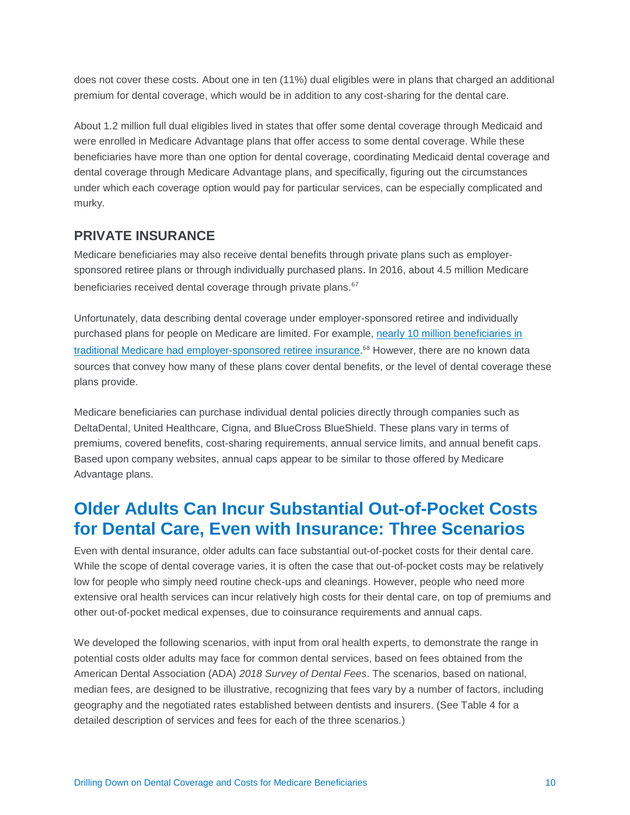does not cover these costs. About one in ten (11%) dual eligibles were in plans that charged an additional premium for dental coverage, which would be in addition to any cost-sharing for the dental care.

About 1.2 million full dual eligibles lived in states that offer some dental coverage through Medicaid and were enrolled in Medicare Advantage plans that offer access to some dental coverage. While these beneficiaries have more than one option for dental coverage, coordinating Medicaid dental coverage and dental coverage through Medicare Advantage plans, and specifically, figuring out the circumstances under which each coverage option would pay for particular services, can be especially complicated and murky.

#### **PRIVATE INSURANCE**

Medicare beneficiaries may also receive dental benefits through private plans such as employersponsored retiree plans or through individually purchased plans. In 2016, about 4.5 million Medicare beneficiaries received dental coverage through private plans.<sup>67</sup>

Unfortunately, data describing dental coverage under employer-sponsored retiree and individually purchased plans for people on Medicare are limited. For example, nearly [10 million beneficiaries in](https://www.kff.org/medicare/issue-brief/sources-of-supplemental-coverage-among-medicare-beneficiaries-in-2016/)  [traditional Medicare had employer-sponsored retiree insurance.](https://www.kff.org/medicare/issue-brief/sources-of-supplemental-coverage-among-medicare-beneficiaries-in-2016/) <sup>68</sup> However, there are no known data sources that convey how many of these plans cover dental benefits, or the level of dental coverage these plans provide.

Medicare beneficiaries can purchase individual dental policies directly through companies such as DeltaDental, United Healthcare, Cigna, and BlueCross BlueShield. These plans vary in terms of premiums, covered benefits, cost-sharing requirements, annual service limits, and annual benefit caps. Based upon company websites, annual caps appear to be similar to those offered by Medicare Advantage plans.

# **Older Adults Can Incur Substantial Out-of-Pocket Costs for Dental Care, Even with Insurance: Three Scenarios**

Even with dental insurance, older adults can face substantial out-of-pocket costs for their dental care. While the scope of dental coverage varies, it is often the case that out-of-pocket costs may be relatively low for people who simply need routine check-ups and cleanings. However, people who need more extensive oral health services can incur relatively high costs for their dental care, on top of premiums and other out-of-pocket medical expenses, due to coinsurance requirements and annual caps.

We developed the following scenarios, with input from oral health experts, to demonstrate the range in potential costs older adults may face for common dental services, based on fees obtained from the American Dental Association (ADA) *2018 Survey of Dental Fees*. The scenarios, based on national, median fees, are designed to be illustrative, recognizing that fees vary by a number of factors, including geography and the negotiated rates established between dentists and insurers. (See Table 4 for a detailed description of services and fees for each of the three scenarios.)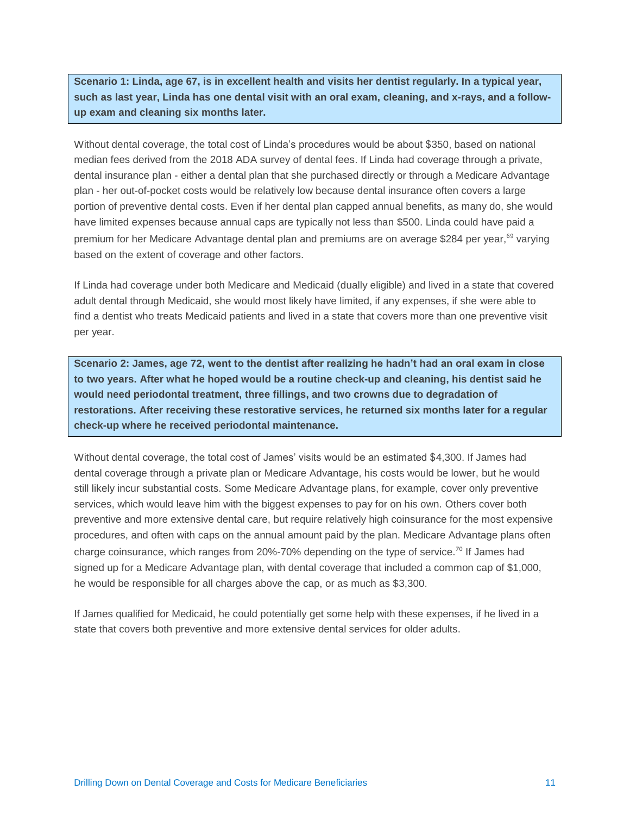**Scenario 1: Linda, age 67, is in excellent health and visits her dentist regularly. In a typical year, such as last year, Linda has one dental visit with an oral exam, cleaning, and x-rays, and a followup exam and cleaning six months later.** 

Without dental coverage, the total cost of Linda's procedures would be about \$350, based on national median fees derived from the 2018 ADA survey of dental fees. If Linda had coverage through a private, dental insurance plan - either a dental plan that she purchased directly or through a Medicare Advantage plan - her out-of-pocket costs would be relatively low because dental insurance often covers a large portion of preventive dental costs. Even if her dental plan capped annual benefits, as many do, she would have limited expenses because annual caps are typically not less than \$500. Linda could have paid a premium for her Medicare Advantage dental plan and premiums are on average \$284 per year, <sup>69</sup> varying based on the extent of coverage and other factors.

If Linda had coverage under both Medicare and Medicaid (dually eligible) and lived in a state that covered adult dental through Medicaid, she would most likely have limited, if any expenses, if she were able to find a dentist who treats Medicaid patients and lived in a state that covers more than one preventive visit per year.

**Scenario 2: James, age 72, went to the dentist after realizing he hadn't had an oral exam in close to two years. After what he hoped would be a routine check-up and cleaning, his dentist said he would need periodontal treatment, three fillings, and two crowns due to degradation of restorations. After receiving these restorative services, he returned six months later for a regular check-up where he received periodontal maintenance.**

Without dental coverage, the total cost of James' visits would be an estimated \$4,300. If James had dental coverage through a private plan or Medicare Advantage, his costs would be lower, but he would still likely incur substantial costs. Some Medicare Advantage plans, for example, cover only preventive services, which would leave him with the biggest expenses to pay for on his own. Others cover both preventive and more extensive dental care, but require relatively high coinsurance for the most expensive procedures, and often with caps on the annual amount paid by the plan. Medicare Advantage plans often charge coinsurance, which ranges from 20%-70% depending on the type of service.<sup>70</sup> If James had signed up for a Medicare Advantage plan, with dental coverage that included a common cap of \$1,000, he would be responsible for all charges above the cap, or as much as \$3,300.

If James qualified for Medicaid, he could potentially get some help with these expenses, if he lived in a state that covers both preventive and more extensive dental services for older adults.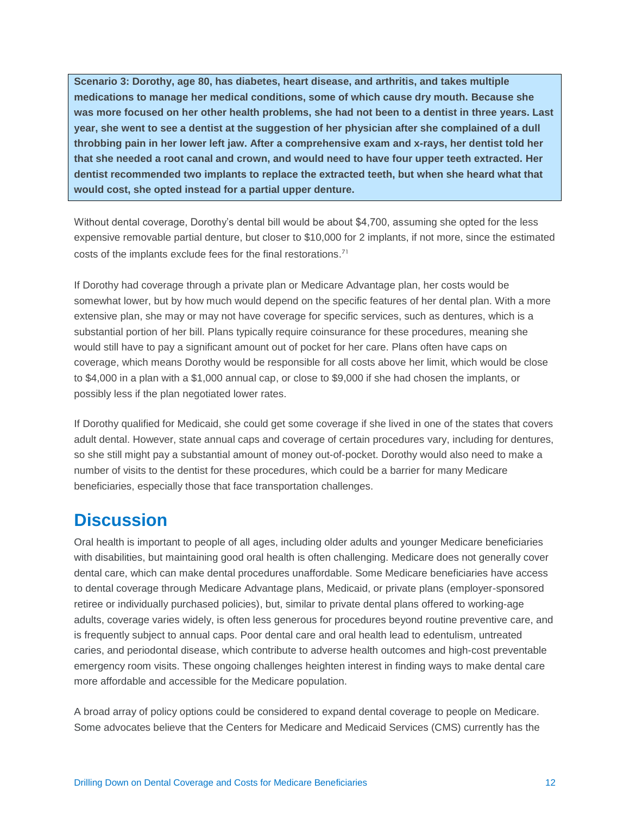**Scenario 3: Dorothy, age 80, has diabetes, heart disease, and arthritis, and takes multiple medications to manage her medical conditions, some of which cause dry mouth. Because she was more focused on her other health problems, she had not been to a dentist in three years. Last year, she went to see a dentist at the suggestion of her physician after she complained of a dull throbbing pain in her lower left jaw. After a comprehensive exam and x-rays, her dentist told her that she needed a root canal and crown, and would need to have four upper teeth extracted. Her dentist recommended two implants to replace the extracted teeth, but when she heard what that would cost, she opted instead for a partial upper denture.**

Without dental coverage, Dorothy's dental bill would be about \$4,700, assuming she opted for the less expensive removable partial denture, but closer to \$10,000 for 2 implants, if not more, since the estimated costs of the implants exclude fees for the final restorations.<sup>71</sup>

If Dorothy had coverage through a private plan or Medicare Advantage plan, her costs would be somewhat lower, but by how much would depend on the specific features of her dental plan. With a more extensive plan, she may or may not have coverage for specific services, such as dentures, which is a substantial portion of her bill. Plans typically require coinsurance for these procedures, meaning she would still have to pay a significant amount out of pocket for her care. Plans often have caps on coverage, which means Dorothy would be responsible for all costs above her limit, which would be close to \$4,000 in a plan with a \$1,000 annual cap, or close to \$9,000 if she had chosen the implants, or possibly less if the plan negotiated lower rates.

If Dorothy qualified for Medicaid, she could get some coverage if she lived in one of the states that covers adult dental. However, state annual caps and coverage of certain procedures vary, including for dentures, so she still might pay a substantial amount of money out-of-pocket. Dorothy would also need to make a number of visits to the dentist for these procedures, which could be a barrier for many Medicare beneficiaries, especially those that face transportation challenges.

### **Discussion**

Oral health is important to people of all ages, including older adults and younger Medicare beneficiaries with disabilities, but maintaining good oral health is often challenging. Medicare does not generally cover dental care, which can make dental procedures unaffordable. Some Medicare beneficiaries have access to dental coverage through Medicare Advantage plans, Medicaid, or private plans (employer-sponsored retiree or individually purchased policies), but, similar to private dental plans offered to working-age adults, coverage varies widely, is often less generous for procedures beyond routine preventive care, and is frequently subject to annual caps. Poor dental care and oral health lead to edentulism, untreated caries, and periodontal disease, which contribute to adverse health outcomes and high-cost preventable emergency room visits. These ongoing challenges heighten interest in finding ways to make dental care more affordable and accessible for the Medicare population.

A broad array of policy options could be considered to expand dental coverage to people on Medicare. Some advocates believe that the Centers for Medicare and Medicaid Services (CMS) currently has the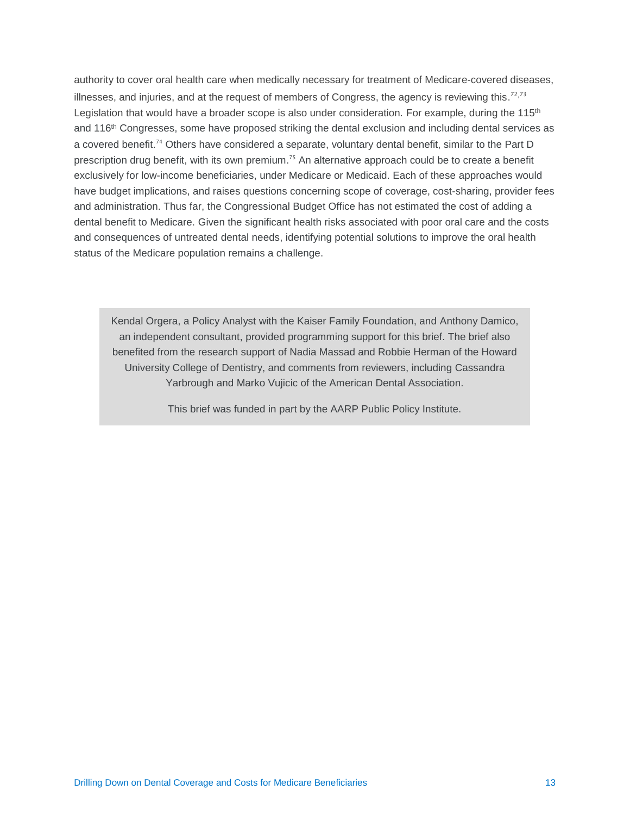authority to cover oral health care when medically necessary for treatment of Medicare-covered diseases, illnesses, and injuries, and at the request of members of Congress, the agency is reviewing this.<sup>72,73</sup> Legislation that would have a broader scope is also under consideration. For example, during the  $115<sup>th</sup>$ and 116<sup>th</sup> Congresses, some have proposed striking the dental exclusion and including dental services as a covered benefit.<sup>74</sup> Others have considered a separate, voluntary dental benefit, similar to the Part D prescription drug benefit, with its own premium.<sup>75</sup> An alternative approach could be to create a benefit exclusively for low-income beneficiaries, under Medicare or Medicaid. Each of these approaches would have budget implications, and raises questions concerning scope of coverage, cost-sharing, provider fees and administration. Thus far, the Congressional Budget Office has not estimated the cost of adding a dental benefit to Medicare. Given the significant health risks associated with poor oral care and the costs and consequences of untreated dental needs, identifying potential solutions to improve the oral health status of the Medicare population remains a challenge.

Kendal Orgera, a Policy Analyst with the Kaiser Family Foundation, and Anthony Damico, an independent consultant, provided programming support for this brief. The brief also benefited from the research support of Nadia Massad and Robbie Herman of the Howard University College of Dentistry, and comments from reviewers, including Cassandra Yarbrough and Marko Vujicic of the American Dental Association.

This brief was funded in part by the AARP Public Policy Institute.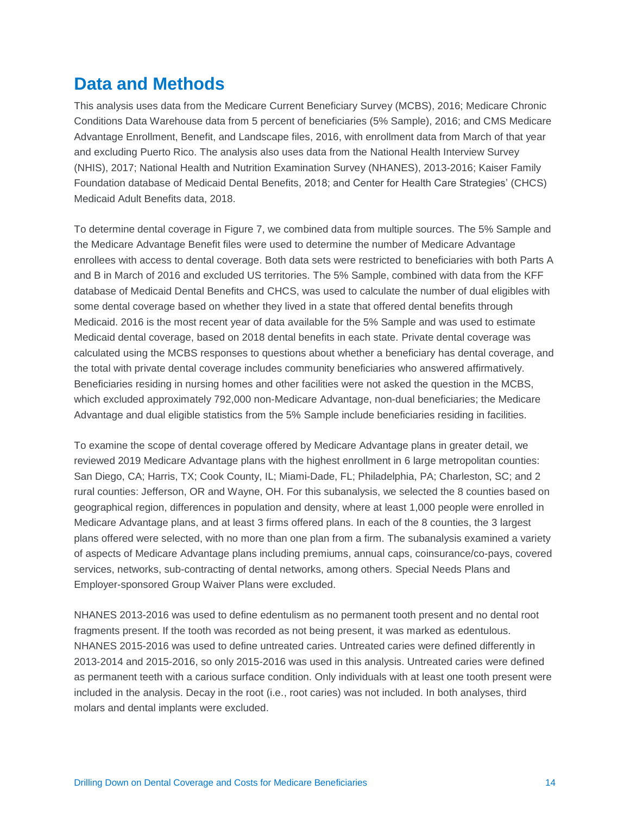### **Data and Methods**

This analysis uses data from the Medicare Current Beneficiary Survey (MCBS), 2016; Medicare Chronic Conditions Data Warehouse data from 5 percent of beneficiaries (5% Sample), 2016; and CMS Medicare Advantage Enrollment, Benefit, and Landscape files, 2016, with enrollment data from March of that year and excluding Puerto Rico. The analysis also uses data from the National Health Interview Survey (NHIS), 2017; National Health and Nutrition Examination Survey (NHANES), 2013-2016; Kaiser Family Foundation database of Medicaid Dental Benefits, 2018; and Center for Health Care Strategies' (CHCS) Medicaid Adult Benefits data, 2018.

To determine dental coverage in Figure 7, we combined data from multiple sources. The 5% Sample and the Medicare Advantage Benefit files were used to determine the number of Medicare Advantage enrollees with access to dental coverage. Both data sets were restricted to beneficiaries with both Parts A and B in March of 2016 and excluded US territories. The 5% Sample, combined with data from the KFF database of Medicaid Dental Benefits and CHCS, was used to calculate the number of dual eligibles with some dental coverage based on whether they lived in a state that offered dental benefits through Medicaid. 2016 is the most recent year of data available for the 5% Sample and was used to estimate Medicaid dental coverage, based on 2018 dental benefits in each state. Private dental coverage was calculated using the MCBS responses to questions about whether a beneficiary has dental coverage, and the total with private dental coverage includes community beneficiaries who answered affirmatively. Beneficiaries residing in nursing homes and other facilities were not asked the question in the MCBS, which excluded approximately 792,000 non-Medicare Advantage, non-dual beneficiaries; the Medicare Advantage and dual eligible statistics from the 5% Sample include beneficiaries residing in facilities.

To examine the scope of dental coverage offered by Medicare Advantage plans in greater detail, we reviewed 2019 Medicare Advantage plans with the highest enrollment in 6 large metropolitan counties: San Diego, CA; Harris, TX; Cook County, IL; Miami-Dade, FL; Philadelphia, PA; Charleston, SC; and 2 rural counties: Jefferson, OR and Wayne, OH. For this subanalysis, we selected the 8 counties based on geographical region, differences in population and density, where at least 1,000 people were enrolled in Medicare Advantage plans, and at least 3 firms offered plans. In each of the 8 counties, the 3 largest plans offered were selected, with no more than one plan from a firm. The subanalysis examined a variety of aspects of Medicare Advantage plans including premiums, annual caps, coinsurance/co-pays, covered services, networks, sub-contracting of dental networks, among others. Special Needs Plans and Employer-sponsored Group Waiver Plans were excluded.

NHANES 2013-2016 was used to define edentulism as no permanent tooth present and no dental root fragments present. If the tooth was recorded as not being present, it was marked as edentulous. NHANES 2015-2016 was used to define untreated caries. Untreated caries were defined differently in 2013-2014 and 2015-2016, so only 2015-2016 was used in this analysis. Untreated caries were defined as permanent teeth with a carious surface condition. Only individuals with at least one tooth present were included in the analysis. Decay in the root (i.e., root caries) was not included. In both analyses, third molars and dental implants were excluded.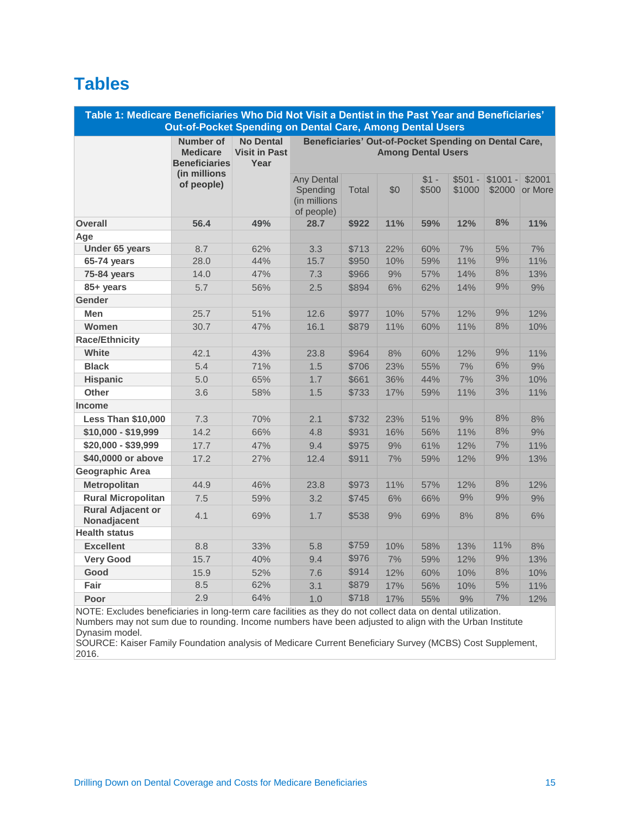# **Tables**

| Table 1: Medicare Beneficiaries Who Did Not Visit a Dentist in the Past Year and Beneficiaries'<br>Out-of-Pocket Spending on Dental Care, Among Dental Users |                                                      |                                                  |                                                                                    |              |     |                 |                    |                     |                   |
|--------------------------------------------------------------------------------------------------------------------------------------------------------------|------------------------------------------------------|--------------------------------------------------|------------------------------------------------------------------------------------|--------------|-----|-----------------|--------------------|---------------------|-------------------|
|                                                                                                                                                              | Number of<br><b>Medicare</b><br><b>Beneficiaries</b> | <b>No Dental</b><br><b>Visit in Past</b><br>Year | Beneficiaries' Out-of-Pocket Spending on Dental Care,<br><b>Among Dental Users</b> |              |     |                 |                    |                     |                   |
|                                                                                                                                                              | (in millions<br>of people)                           |                                                  | Any Dental<br>Spending<br>(in millions<br>of people)                               | <b>Total</b> | \$0 | $$1 -$<br>\$500 | $$501 -$<br>\$1000 | $$1001 -$<br>\$2000 | \$2001<br>or More |
| <b>Overall</b>                                                                                                                                               | 56.4                                                 | 49%                                              | 28.7                                                                               | \$922        | 11% | 59%             | 12%                | 8%                  | 11%               |
| Age                                                                                                                                                          |                                                      |                                                  |                                                                                    |              |     |                 |                    |                     |                   |
| Under 65 years                                                                                                                                               | 8.7                                                  | 62%                                              | 3.3                                                                                | \$713        | 22% | 60%             | 7%                 | 5%                  | 7%                |
| 65-74 years                                                                                                                                                  | 28.0                                                 | 44%                                              | 15.7                                                                               | \$950        | 10% | 59%             | 11%                | 9%                  | 11%               |
| 75-84 years                                                                                                                                                  | 14.0                                                 | 47%                                              | 7.3                                                                                | \$966        | 9%  | 57%             | 14%                | 8%                  | 13%               |
| 85+ years                                                                                                                                                    | 5.7                                                  | 56%                                              | 2.5                                                                                | \$894        | 6%  | 62%             | 14%                | 9%                  | 9%                |
| <b>Gender</b>                                                                                                                                                |                                                      |                                                  |                                                                                    |              |     |                 |                    |                     |                   |
| <b>Men</b>                                                                                                                                                   | 25.7                                                 | 51%                                              | 12.6                                                                               | \$977        | 10% | 57%             | 12%                | 9%                  | 12%               |
| Women                                                                                                                                                        | 30.7                                                 | 47%                                              | 16.1                                                                               | \$879        | 11% | 60%             | 11%                | 8%                  | 10%               |
| <b>Race/Ethnicity</b>                                                                                                                                        |                                                      |                                                  |                                                                                    |              |     |                 |                    |                     |                   |
| White                                                                                                                                                        | 42.1                                                 | 43%                                              | 23.8                                                                               | \$964        | 8%  | 60%             | 12%                | 9%                  | 11%               |
| <b>Black</b>                                                                                                                                                 | 5.4                                                  | 71%                                              | 1.5                                                                                | \$706        | 23% | 55%             | 7%                 | 6%                  | 9%                |
| <b>Hispanic</b>                                                                                                                                              | 5.0                                                  | 65%                                              | 1.7                                                                                | \$661        | 36% | 44%             | 7%                 | 3%                  | 10%               |
| <b>Other</b>                                                                                                                                                 | 3.6                                                  | 58%                                              | 1.5                                                                                | \$733        | 17% | 59%             | 11%                | 3%                  | 11%               |
| <b>Income</b>                                                                                                                                                |                                                      |                                                  |                                                                                    |              |     |                 |                    |                     |                   |
| <b>Less Than \$10,000</b>                                                                                                                                    | 7.3                                                  | 70%                                              | 2.1                                                                                | \$732        | 23% | 51%             | 9%                 | 8%                  | 8%                |
| \$10,000 - \$19,999                                                                                                                                          | 14.2                                                 | 66%                                              | 4.8                                                                                | \$931        | 16% | 56%             | 11%                | 8%                  | 9%                |
| \$20,000 - \$39,999                                                                                                                                          | 17.7                                                 | 47%                                              | 9.4                                                                                | \$975        | 9%  | 61%             | 12%                | 7%                  | 11%               |
| \$40,0000 or above                                                                                                                                           | 17.2                                                 | 27%                                              | 12.4                                                                               | \$911        | 7%  | 59%             | 12%                | 9%                  | 13%               |
| <b>Geographic Area</b>                                                                                                                                       |                                                      |                                                  |                                                                                    |              |     |                 |                    |                     |                   |
| <b>Metropolitan</b>                                                                                                                                          | 44.9                                                 | 46%                                              | 23.8                                                                               | \$973        | 11% | 57%             | 12%                | 8%                  | 12%               |
| <b>Rural Micropolitan</b>                                                                                                                                    | 7.5                                                  | 59%                                              | 3.2                                                                                | \$745        | 6%  | 66%             | 9%                 | 9%                  | 9%                |
| <b>Rural Adjacent or</b><br>Nonadjacent                                                                                                                      | 4.1                                                  | 69%                                              | 1.7                                                                                | \$538        | 9%  | 69%             | 8%                 | 8%                  | 6%                |
| <b>Health status</b>                                                                                                                                         |                                                      |                                                  |                                                                                    |              |     |                 |                    |                     |                   |
| <b>Excellent</b>                                                                                                                                             | 8.8                                                  | 33%                                              | 5.8                                                                                | \$759        | 10% | 58%             | 13%                | 11%                 | 8%                |
| <b>Very Good</b>                                                                                                                                             | 15.7                                                 | 40%                                              | 9.4                                                                                | \$976        | 7%  | 59%             | 12%                | 9%                  | 13%               |
| Good                                                                                                                                                         | 15.9                                                 | 52%                                              | 7.6                                                                                | \$914        | 12% | 60%             | 10%                | 8%                  | 10%               |
| Fair                                                                                                                                                         | 8.5                                                  | 62%                                              | 3.1                                                                                | \$879        | 17% | 56%             | 10%                | 5%                  | 11%               |
| Poor                                                                                                                                                         | 2.9                                                  | 64%                                              | 1.0                                                                                | \$718        | 17% | 55%             | 9%                 | 7%                  | 12%               |

NOTE: Excludes beneficiaries in long-term care facilities as they do not collect data on dental utilization. Numbers may not sum due to rounding. Income numbers have been adjusted to align with the Urban Institute Dynasim model.

SOURCE: Kaiser Family Foundation analysis of Medicare Current Beneficiary Survey (MCBS) Cost Supplement, 2016.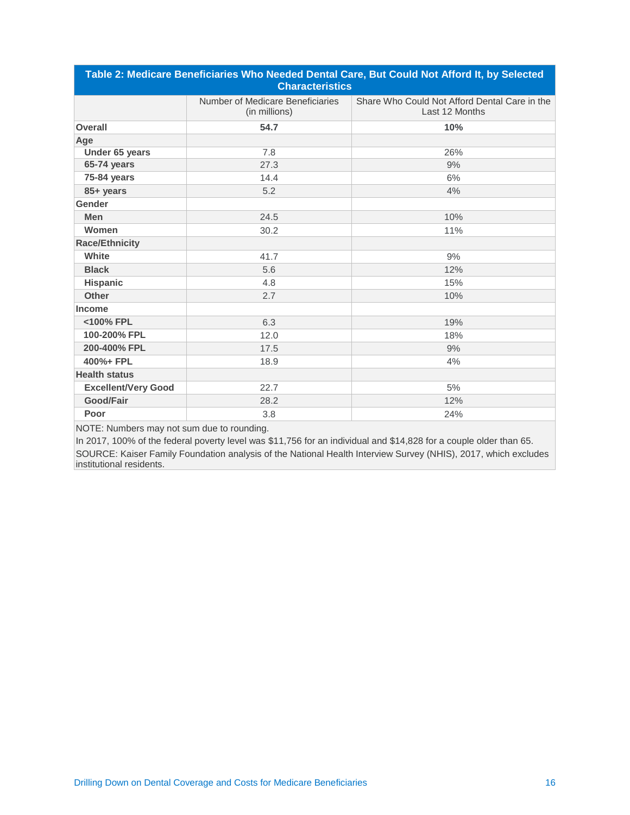| Table 2: Medicare Beneficiaries Who Needed Dental Care, But Could Not Afford It, by Selected<br><b>Characteristics</b> |                                                   |                                                                 |  |  |  |  |
|------------------------------------------------------------------------------------------------------------------------|---------------------------------------------------|-----------------------------------------------------------------|--|--|--|--|
|                                                                                                                        | Number of Medicare Beneficiaries<br>(in millions) | Share Who Could Not Afford Dental Care in the<br>Last 12 Months |  |  |  |  |
| <b>Overall</b>                                                                                                         | 54.7                                              | 10%                                                             |  |  |  |  |
| Age                                                                                                                    |                                                   |                                                                 |  |  |  |  |
| Under 65 years                                                                                                         | 7.8                                               | 26%                                                             |  |  |  |  |
| 65-74 years                                                                                                            | 27.3                                              | 9%                                                              |  |  |  |  |
| 75-84 years                                                                                                            | 14.4                                              | 6%                                                              |  |  |  |  |
| 85+ years                                                                                                              | 5.2                                               | 4%                                                              |  |  |  |  |
| Gender                                                                                                                 |                                                   |                                                                 |  |  |  |  |
| <b>Men</b>                                                                                                             | 24.5                                              | 10%                                                             |  |  |  |  |
| Women                                                                                                                  | 30.2                                              | 11%                                                             |  |  |  |  |
| <b>Race/Ethnicity</b>                                                                                                  |                                                   |                                                                 |  |  |  |  |
| White                                                                                                                  | 41.7                                              | 9%                                                              |  |  |  |  |
| <b>Black</b>                                                                                                           | 5.6                                               | 12%                                                             |  |  |  |  |
| <b>Hispanic</b>                                                                                                        | 4.8                                               | 15%                                                             |  |  |  |  |
| Other                                                                                                                  | 2.7                                               | 10%                                                             |  |  |  |  |
| <b>Income</b>                                                                                                          |                                                   |                                                                 |  |  |  |  |
| <100% FPL                                                                                                              | 6.3                                               | 19%                                                             |  |  |  |  |
| 100-200% FPL                                                                                                           | 12.0                                              | 18%                                                             |  |  |  |  |
| 200-400% FPL                                                                                                           | 17.5                                              | 9%                                                              |  |  |  |  |
| 400%+ FPL                                                                                                              | 18.9                                              | 4%                                                              |  |  |  |  |
| <b>Health status</b>                                                                                                   |                                                   |                                                                 |  |  |  |  |
| <b>Excellent/Very Good</b>                                                                                             | 22.7                                              | 5%                                                              |  |  |  |  |
| <b>Good/Fair</b>                                                                                                       | 28.2                                              | 12%                                                             |  |  |  |  |
| Poor                                                                                                                   | 3.8                                               | 24%                                                             |  |  |  |  |

NOTE: Numbers may not sum due to rounding.

In 2017, 100% of the federal poverty level was \$11,756 for an individual and \$14,828 for a couple older than 65. SOURCE: Kaiser Family Foundation analysis of the National Health Interview Survey (NHIS), 2017, which excludes institutional residents.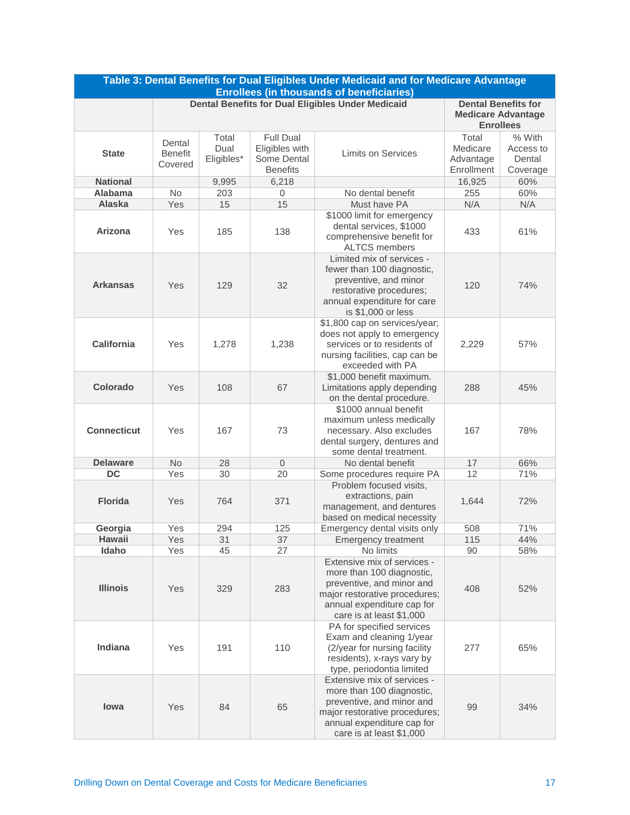| Table 3: Dental Benefits for Dual Eligibles Under Medicaid and for Medicare Advantage<br><b>Enrollees (in thousands of beneficiaries)</b> |                                     |                             |                                                                      |                                                                                                                                                                                               |                                              |                                           |  |
|-------------------------------------------------------------------------------------------------------------------------------------------|-------------------------------------|-----------------------------|----------------------------------------------------------------------|-----------------------------------------------------------------------------------------------------------------------------------------------------------------------------------------------|----------------------------------------------|-------------------------------------------|--|
|                                                                                                                                           |                                     |                             |                                                                      | <b>Dental Benefits for Dual Eligibles Under Medicaid</b>                                                                                                                                      |                                              | <b>Dental Benefits for</b>                |  |
|                                                                                                                                           |                                     |                             |                                                                      |                                                                                                                                                                                               | <b>Medicare Advantage</b>                    |                                           |  |
|                                                                                                                                           |                                     |                             |                                                                      |                                                                                                                                                                                               | <b>Enrollees</b>                             |                                           |  |
| <b>State</b>                                                                                                                              | Dental<br><b>Benefit</b><br>Covered | Total<br>Dual<br>Eligibles* | <b>Full Dual</b><br>Eligibles with<br>Some Dental<br><b>Benefits</b> | Limits on Services                                                                                                                                                                            | Total<br>Medicare<br>Advantage<br>Enrollment | % With<br>Access to<br>Dental<br>Coverage |  |
| <b>National</b>                                                                                                                           |                                     | 9,995                       | 6,218                                                                |                                                                                                                                                                                               | 16,925                                       | 60%                                       |  |
| Alabama                                                                                                                                   | No                                  | 203                         | 0                                                                    | No dental benefit                                                                                                                                                                             | 255                                          | 60%                                       |  |
| Alaska                                                                                                                                    | Yes                                 | 15                          | 15                                                                   | Must have PA                                                                                                                                                                                  | N/A                                          | N/A                                       |  |
| Arizona                                                                                                                                   | Yes                                 | 185                         | 138                                                                  | \$1000 limit for emergency<br>dental services, \$1000<br>comprehensive benefit for<br><b>ALTCS members</b>                                                                                    | 433                                          | 61%                                       |  |
| <b>Arkansas</b>                                                                                                                           | Yes                                 | 129                         | 32                                                                   | Limited mix of services -<br>fewer than 100 diagnostic,<br>preventive, and minor<br>restorative procedures;<br>annual expenditure for care<br>is \$1,000 or less                              | 120                                          | 74%                                       |  |
| <b>California</b>                                                                                                                         | Yes                                 | 1,278                       | 1,238                                                                | \$1,800 cap on services/year;<br>does not apply to emergency<br>services or to residents of<br>nursing facilities, cap can be<br>exceeded with PA                                             | 2,229                                        | 57%                                       |  |
| Colorado                                                                                                                                  | Yes                                 | 108                         | 67                                                                   | \$1,000 benefit maximum.<br>Limitations apply depending<br>on the dental procedure.                                                                                                           | 288                                          | 45%                                       |  |
| <b>Connecticut</b>                                                                                                                        | Yes                                 | 167                         | 73                                                                   | \$1000 annual benefit<br>maximum unless medically<br>necessary. Also excludes<br>dental surgery, dentures and<br>some dental treatment.                                                       | 167                                          | 78%                                       |  |
| <b>Delaware</b>                                                                                                                           | <b>No</b>                           | 28                          | $\overline{0}$                                                       | No dental benefit                                                                                                                                                                             | 17                                           | 66%                                       |  |
| <b>DC</b>                                                                                                                                 | Yes                                 | 30                          | 20                                                                   | Some procedures require PA                                                                                                                                                                    | 12                                           | 71%                                       |  |
| <b>Florida</b>                                                                                                                            | Yes                                 | 764                         | 371                                                                  | Problem focused visits,<br>extractions, pain<br>management, and dentures<br>based on medical necessity                                                                                        | 1,644                                        | 72%                                       |  |
| Georgia                                                                                                                                   | Yes                                 | 294                         | 125                                                                  | Emergency dental visits only                                                                                                                                                                  | 508                                          | 71%                                       |  |
| <b>Hawaii</b>                                                                                                                             | Yes                                 | 31                          | 37                                                                   | <b>Emergency treatment</b>                                                                                                                                                                    | 115                                          | 44%                                       |  |
| Idaho<br><b>Illinois</b>                                                                                                                  | Yes<br>Yes                          | 45<br>329                   | 27<br>283                                                            | No limits<br>Extensive mix of services -<br>more than 100 diagnostic,<br>preventive, and minor and<br>major restorative procedures;<br>annual expenditure cap for<br>care is at least \$1,000 | 90<br>408                                    | 58%<br>52%                                |  |
| Indiana                                                                                                                                   | Yes                                 | 191                         | 110                                                                  | PA for specified services<br>Exam and cleaning 1/year<br>(2/year for nursing facility<br>residents), x-rays vary by<br>type, periodontia limited                                              | 277                                          | 65%                                       |  |
| lowa                                                                                                                                      | Yes                                 | 84                          | 65                                                                   | Extensive mix of services -<br>more than 100 diagnostic,<br>preventive, and minor and<br>major restorative procedures;<br>annual expenditure cap for<br>care is at least \$1,000              | 99                                           | 34%                                       |  |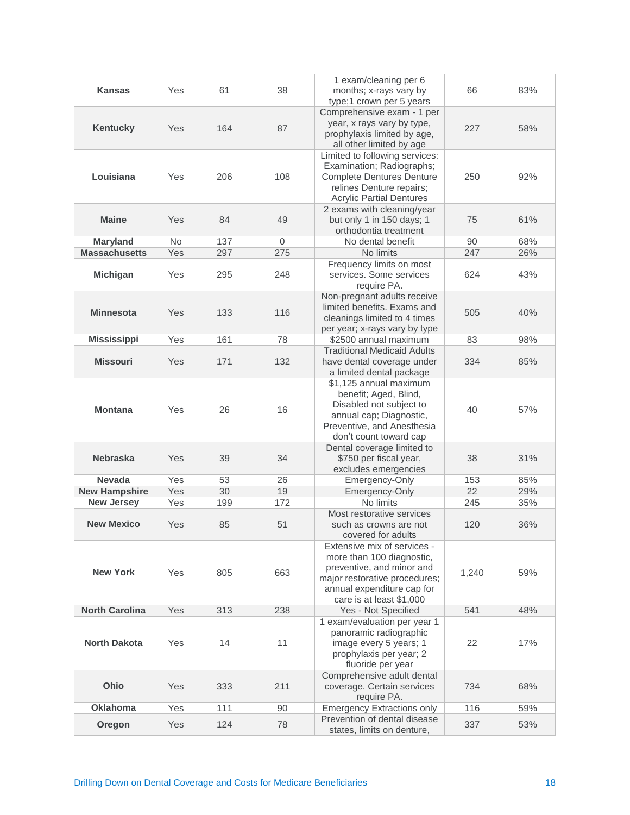| <b>Kansas</b>         | Yes            | 61  | 38  | 1 exam/cleaning per 6<br>months; x-rays vary by<br>type;1 crown per 5 years                                                                                                      | 66    | 83% |
|-----------------------|----------------|-----|-----|----------------------------------------------------------------------------------------------------------------------------------------------------------------------------------|-------|-----|
| <b>Kentucky</b>       | Yes            | 164 | 87  | Comprehensive exam - 1 per<br>year, x rays vary by type,<br>prophylaxis limited by age,<br>all other limited by age                                                              | 227   | 58% |
| Louisiana             | Yes            | 206 | 108 | Limited to following services:<br>Examination; Radiographs;<br><b>Complete Dentures Denture</b><br>relines Denture repairs;<br><b>Acrylic Partial Dentures</b>                   | 250   | 92% |
| <b>Maine</b>          | Yes            | 84  | 49  | 2 exams with cleaning/year<br>but only 1 in 150 days; 1<br>orthodontia treatment                                                                                                 | 75    | 61% |
| <b>Maryland</b>       | N <sub>o</sub> | 137 | 0   | No dental benefit                                                                                                                                                                | 90    | 68% |
| <b>Massachusetts</b>  | Yes            | 297 | 275 | No limits                                                                                                                                                                        | 247   | 26% |
| <b>Michigan</b>       | Yes            | 295 | 248 | Frequency limits on most<br>services. Some services<br>require PA.                                                                                                               | 624   | 43% |
| <b>Minnesota</b>      | Yes            | 133 | 116 | Non-pregnant adults receive<br>limited benefits. Exams and<br>cleanings limited to 4 times<br>per year; x-rays vary by type                                                      | 505   | 40% |
| <b>Mississippi</b>    | Yes            | 161 | 78  | \$2500 annual maximum                                                                                                                                                            | 83    | 98% |
| <b>Missouri</b>       | Yes            | 171 | 132 | <b>Traditional Medicaid Adults</b><br>have dental coverage under<br>a limited dental package                                                                                     | 334   | 85% |
| <b>Montana</b>        | Yes            | 26  | 16  | \$1,125 annual maximum<br>benefit; Aged, Blind,<br>Disabled not subject to<br>annual cap; Diagnostic,<br>Preventive, and Anesthesia<br>don't count toward cap                    | 40    | 57% |
| <b>Nebraska</b>       | Yes            | 39  | 34  | Dental coverage limited to<br>\$750 per fiscal year,<br>excludes emergencies                                                                                                     | 38    | 31% |
| <b>Nevada</b>         | Yes            | 53  | 26  | Emergency-Only                                                                                                                                                                   | 153   | 85% |
| <b>New Hampshire</b>  | Yes            | 30  | 19  | Emergency-Only                                                                                                                                                                   | 22    | 29% |
| <b>New Jersey</b>     | Yes            | 199 | 172 | No limits                                                                                                                                                                        | 245   | 35% |
| <b>New Mexico</b>     | Yes            | 85  | 51  | Most restorative services<br>such as crowns are not<br>covered for adults                                                                                                        | 120   | 36% |
| <b>New York</b>       | Yes            | 805 | 663 | Extensive mix of services -<br>more than 100 diagnostic,<br>preventive, and minor and<br>major restorative procedures;<br>annual expenditure cap for<br>care is at least \$1,000 | 1,240 | 59% |
| <b>North Carolina</b> | Yes            | 313 | 238 | Yes - Not Specified                                                                                                                                                              | 541   | 48% |
| <b>North Dakota</b>   | Yes            | 14  | 11  | 1 exam/evaluation per year 1<br>panoramic radiographic<br>image every 5 years; 1<br>prophylaxis per year; 2<br>fluoride per year                                                 | 22    | 17% |
| Ohio                  | Yes            | 333 | 211 | Comprehensive adult dental<br>coverage. Certain services<br>require PA.                                                                                                          | 734   | 68% |
| <b>Oklahoma</b>       | Yes            | 111 | 90  | <b>Emergency Extractions only</b>                                                                                                                                                | 116   | 59% |
| Oregon                | Yes            | 124 | 78  | Prevention of dental disease<br>states, limits on denture,                                                                                                                       | 337   | 53% |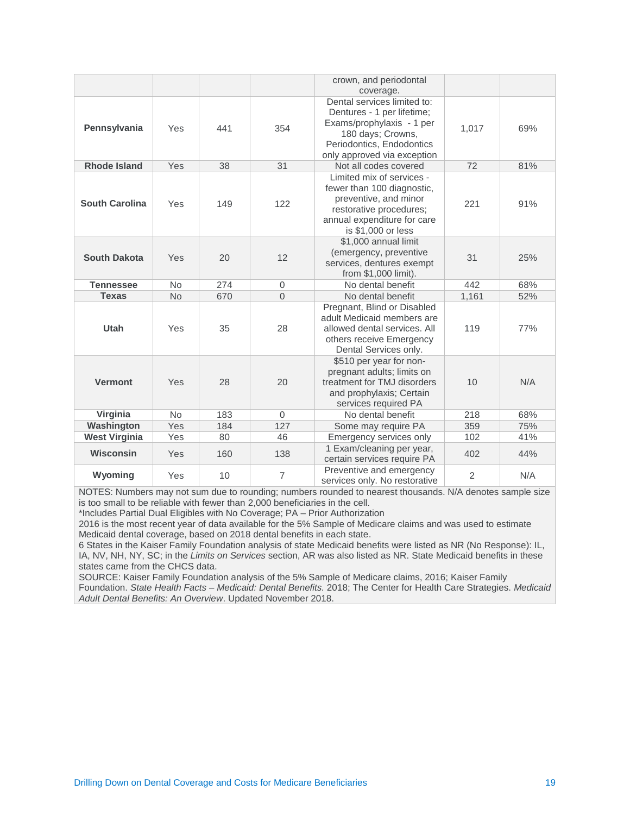|                       |           |     |                | crown, and periodontal<br>coverage.                                                                                                                                     |       |     |
|-----------------------|-----------|-----|----------------|-------------------------------------------------------------------------------------------------------------------------------------------------------------------------|-------|-----|
| Pennsylvania          | Yes       | 441 | 354            | Dental services limited to:<br>Dentures - 1 per lifetime;<br>Exams/prophylaxis - 1 per<br>180 days; Crowns,<br>Periodontics, Endodontics<br>only approved via exception | 1,017 | 69% |
| <b>Rhode Island</b>   | Yes       | 38  | 31             | Not all codes covered                                                                                                                                                   | 72    | 81% |
| <b>South Carolina</b> | Yes       | 149 | 122            | Limited mix of services -<br>fewer than 100 diagnostic.<br>preventive, and minor<br>restorative procedures;<br>annual expenditure for care<br>is \$1,000 or less        | 221   | 91% |
| <b>South Dakota</b>   | Yes       | 20  | 12             | \$1,000 annual limit<br>(emergency, preventive<br>services, dentures exempt<br>from \$1,000 limit).                                                                     | 31    | 25% |
| <b>Tennessee</b>      | <b>No</b> | 274 | $\overline{0}$ | No dental benefit                                                                                                                                                       | 442   | 68% |
| <b>Texas</b>          | <b>No</b> | 670 | $\overline{0}$ | No dental benefit                                                                                                                                                       | 1,161 | 52% |
| <b>Utah</b>           | Yes       | 35  | 28             | Pregnant, Blind or Disabled<br>adult Medicaid members are<br>allowed dental services. All<br>others receive Emergency<br>Dental Services only.                          | 119   | 77% |
| <b>Vermont</b>        | Yes       | 28  | 20             | \$510 per year for non-<br>pregnant adults; limits on<br>treatment for TMJ disorders<br>and prophylaxis; Certain<br>services required PA                                | 10    | N/A |
| Virginia              | <b>No</b> | 183 | $\Omega$       | No dental benefit                                                                                                                                                       | 218   | 68% |
| Washington            | Yes       | 184 | 127            | Some may require PA                                                                                                                                                     | 359   | 75% |
| <b>West Virginia</b>  | Yes       | 80  | 46             | Emergency services only                                                                                                                                                 | 102   | 41% |
|                       |           |     |                |                                                                                                                                                                         |       |     |
| Wisconsin             | Yes       | 160 | 138            | 1 Exam/cleaning per year,<br>certain services require PA                                                                                                                | 402   | 44% |

NOTES: Numbers may not sum due to rounding; numbers rounded to nearest thousands. N/A denotes sample size is too small to be reliable with fewer than 2,000 beneficiaries in the cell.

\*Includes Partial Dual Eligibles with No Coverage; PA – Prior Authorization

2016 is the most recent year of data available for the 5% Sample of Medicare claims and was used to estimate Medicaid dental coverage, based on 2018 dental benefits in each state.

6 States in the Kaiser Family Foundation analysis of state Medicaid benefits were listed as NR (No Response): IL, IA, NV, NH, NY, SC; in the *Limits on Services* section, AR was also listed as NR. State Medicaid benefits in these states came from the CHCS data.

SOURCE: Kaiser Family Foundation analysis of the 5% Sample of Medicare claims, 2016; Kaiser Family

Foundation. *State Health Facts – Medicaid: Dental Benefits.* 2018; The Center for Health Care Strategies. *Medicaid Adult Dental Benefits: An Overview*. Updated November 2018.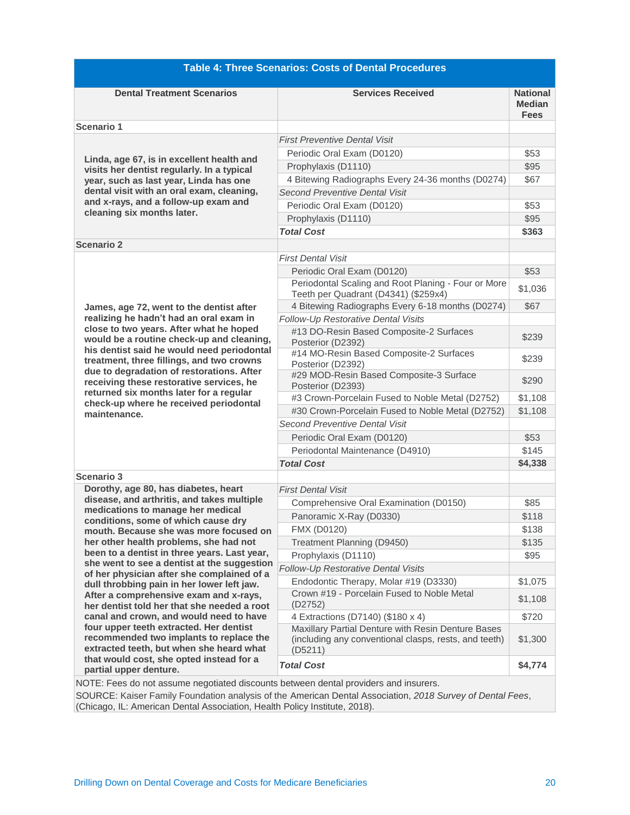| <b>Table 4: Three Scenarios: Costs of Dental Procedures</b>                                                                    |                                                                                                                        |                                                 |  |  |  |  |  |
|--------------------------------------------------------------------------------------------------------------------------------|------------------------------------------------------------------------------------------------------------------------|-------------------------------------------------|--|--|--|--|--|
| <b>Dental Treatment Scenarios</b>                                                                                              | <b>Services Received</b>                                                                                               | <b>National</b><br><b>Median</b><br><b>Fees</b> |  |  |  |  |  |
| <b>Scenario 1</b>                                                                                                              |                                                                                                                        |                                                 |  |  |  |  |  |
|                                                                                                                                | <b>First Preventive Dental Visit</b>                                                                                   |                                                 |  |  |  |  |  |
| Linda, age 67, is in excellent health and                                                                                      | Periodic Oral Exam (D0120)                                                                                             | \$53                                            |  |  |  |  |  |
| visits her dentist regularly. In a typical                                                                                     | Prophylaxis (D1110)                                                                                                    | \$95                                            |  |  |  |  |  |
| year, such as last year, Linda has one                                                                                         | 4 Bitewing Radiographs Every 24-36 months (D0274)                                                                      | \$67                                            |  |  |  |  |  |
| dental visit with an oral exam, cleaning,                                                                                      | <b>Second Preventive Dental Visit</b>                                                                                  |                                                 |  |  |  |  |  |
| and x-rays, and a follow-up exam and<br>cleaning six months later.                                                             | Periodic Oral Exam (D0120)                                                                                             | \$53                                            |  |  |  |  |  |
|                                                                                                                                | Prophylaxis (D1110)                                                                                                    | \$95                                            |  |  |  |  |  |
|                                                                                                                                | <b>Total Cost</b>                                                                                                      | \$363                                           |  |  |  |  |  |
| <b>Scenario 2</b>                                                                                                              |                                                                                                                        |                                                 |  |  |  |  |  |
|                                                                                                                                | <b>First Dental Visit</b>                                                                                              |                                                 |  |  |  |  |  |
|                                                                                                                                | Periodic Oral Exam (D0120)                                                                                             | \$53                                            |  |  |  |  |  |
|                                                                                                                                | Periodontal Scaling and Root Planing - Four or More<br>Teeth per Quadrant (D4341) (\$259x4)                            | \$1,036                                         |  |  |  |  |  |
| James, age 72, went to the dentist after                                                                                       | 4 Bitewing Radiographs Every 6-18 months (D0274)                                                                       | \$67                                            |  |  |  |  |  |
| realizing he hadn't had an oral exam in                                                                                        | Follow-Up Restorative Dental Visits                                                                                    |                                                 |  |  |  |  |  |
| close to two years. After what he hoped<br>would be a routine check-up and cleaning,                                           | #13 DO-Resin Based Composite-2 Surfaces<br>Posterior (D2392)                                                           | \$239                                           |  |  |  |  |  |
| his dentist said he would need periodontal<br>treatment, three fillings, and two crowns                                        | #14 MO-Resin Based Composite-2 Surfaces<br>Posterior (D2392)                                                           | \$239                                           |  |  |  |  |  |
| due to degradation of restorations. After<br>receiving these restorative services, he                                          | #29 MOD-Resin Based Composite-3 Surface<br>Posterior (D2393)                                                           | \$290                                           |  |  |  |  |  |
| returned six months later for a regular<br>check-up where he received periodontal                                              | #3 Crown-Porcelain Fused to Noble Metal (D2752)                                                                        | \$1,108                                         |  |  |  |  |  |
| maintenance.                                                                                                                   | #30 Crown-Porcelain Fused to Noble Metal (D2752)                                                                       | \$1,108                                         |  |  |  |  |  |
|                                                                                                                                | Second Preventive Dental Visit                                                                                         |                                                 |  |  |  |  |  |
|                                                                                                                                | Periodic Oral Exam (D0120)                                                                                             | \$53                                            |  |  |  |  |  |
|                                                                                                                                | Periodontal Maintenance (D4910)                                                                                        | \$145                                           |  |  |  |  |  |
|                                                                                                                                | <b>Total Cost</b>                                                                                                      | \$4,338                                         |  |  |  |  |  |
| <b>Scenario 3</b>                                                                                                              |                                                                                                                        |                                                 |  |  |  |  |  |
| Dorothy, age 80, has diabetes, heart                                                                                           | <b>First Dental Visit</b>                                                                                              |                                                 |  |  |  |  |  |
| disease, and arthritis, and takes multiple<br>medications to manage her medical                                                | Comprehensive Oral Examination (D0150)                                                                                 | \$85                                            |  |  |  |  |  |
| conditions, some of which cause dry                                                                                            | Panoramic X-Ray (D0330)                                                                                                | \$118                                           |  |  |  |  |  |
| mouth. Because she was more focused on                                                                                         | FMX (D0120)                                                                                                            | \$138                                           |  |  |  |  |  |
| her other health problems, she had not                                                                                         | Treatment Planning (D9450)                                                                                             | \$135                                           |  |  |  |  |  |
| been to a dentist in three years. Last year,<br>she went to see a dentist at the suggestion                                    | Prophylaxis (D1110)                                                                                                    | \$95                                            |  |  |  |  |  |
| of her physician after she complained of a                                                                                     | Follow-Up Restorative Dental Visits                                                                                    |                                                 |  |  |  |  |  |
| dull throbbing pain in her lower left jaw.                                                                                     | Endodontic Therapy, Molar #19 (D3330)                                                                                  | \$1,075                                         |  |  |  |  |  |
| After a comprehensive exam and x-rays,<br>her dentist told her that she needed a root                                          | Crown #19 - Porcelain Fused to Noble Metal<br>(D2752)                                                                  | \$1,108                                         |  |  |  |  |  |
| canal and crown, and would need to have                                                                                        | 4 Extractions (D7140) (\$180 x 4)                                                                                      | \$720                                           |  |  |  |  |  |
| four upper teeth extracted. Her dentist<br>recommended two implants to replace the<br>extracted teeth, but when she heard what | Maxillary Partial Denture with Resin Denture Bases<br>(including any conventional clasps, rests, and teeth)<br>(D5211) |                                                 |  |  |  |  |  |
| that would cost, she opted instead for a<br>partial upper denture.                                                             | <b>Total Cost</b>                                                                                                      | \$4,774                                         |  |  |  |  |  |

NOTE: Fees do not assume negotiated discounts between dental providers and insurers.

SOURCE: Kaiser Family Foundation analysis of the American Dental Association, *2018 Survey of Dental Fees*, (Chicago, IL: American Dental Association, Health Policy Institute, 2018).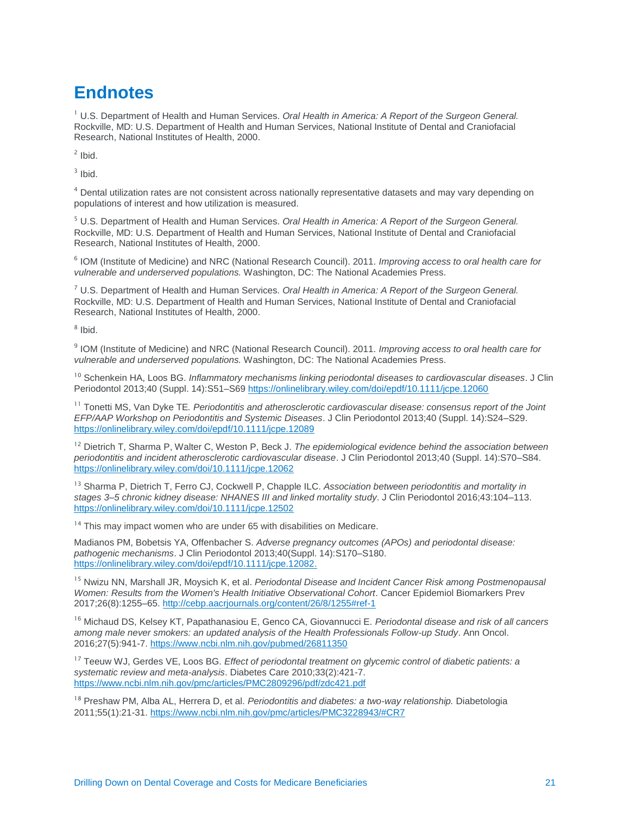# **Endnotes**

<sup>1</sup> U.S. Department of Health and Human Services. *Oral Health in America: A Report of the Surgeon General.* Rockville, MD: U.S. Department of Health and Human Services, National Institute of Dental and Craniofacial Research, National Institutes of Health, 2000.

 $2$  Ibid.

 $3$  Ibid.

<sup>4</sup> Dental utilization rates are not consistent across nationally representative datasets and may vary depending on populations of interest and how utilization is measured.

<sup>5</sup> U.S. Department of Health and Human Services. *Oral Health in America: A Report of the Surgeon General.* Rockville, MD: U.S. Department of Health and Human Services, National Institute of Dental and Craniofacial Research, National Institutes of Health, 2000.

6 IOM (Institute of Medicine) and NRC (National Research Council). 2011. *Improving access to oral health care for vulnerable and underserved populations.* Washington, DC: The National Academies Press.

<sup>7</sup> U.S. Department of Health and Human Services*. Oral Health in America: A Report of the Surgeon General.* Rockville, MD: U.S. Department of Health and Human Services, National Institute of Dental and Craniofacial Research, National Institutes of Health, 2000.

8 Ibid.

9 IOM (Institute of Medicine) and NRC (National Research Council). 2011. *Improving access to oral health care for vulnerable and underserved populations.* Washington, DC: The National Academies Press.

<sup>10</sup> Schenkein HA, Loos BG. *Inflammatory mechanisms linking periodontal diseases to cardiovascular diseases*. J Clin Periodontol 2013;40 (Suppl. 14):S51–S69 <https://onlinelibrary.wiley.com/doi/epdf/10.1111/jcpe.12060>

<sup>11</sup> Tonetti MS, Van Dyke TE. Periodontitis and atherosclerotic cardiovascular disease: consensus report of the Joint *EFP/AAP Workshop on Periodontitis and Systemic Diseases*. J Clin Periodontol 2013;40 (Suppl. 14):S24–S29. <https://onlinelibrary.wiley.com/doi/epdf/10.1111/jcpe.12089>

<sup>12</sup> Dietrich T, Sharma P, Walter C, Weston P, Beck J. The epidemiological evidence behind the association between *periodontitis and incident atherosclerotic cardiovascular disease*. J Clin Periodontol 2013;40 (Suppl. 14):S70–S84. <https://onlinelibrary.wiley.com/doi/10.1111/jcpe.12062>

<sup>13</sup> Sharma P, Dietrich T, Ferro CJ, Cockwell P, Chapple ILC. *Association between periodontitis and mortality in stages 3–5 chronic kidney disease: NHANES III and linked mortality study*. J Clin Periodontol 2016;43:104–113. <https://onlinelibrary.wiley.com/doi/10.1111/jcpe.12502>

<sup>14</sup> This may impact women who are under 65 with disabilities on Medicare.

Madianos PM, Bobetsis YA, Offenbacher S. *Adverse pregnancy outcomes (APOs) and periodontal disease: pathogenic mechanisms*. J Clin Periodontol 2013;40(Suppl. 14):S170–S180. [https://onlinelibrary.wiley.com/doi/epdf/10.1111/jcpe.12082.](https://onlinelibrary.wiley.com/doi/epdf/10.1111/jcpe.12082)

<sup>15</sup> Nwizu NN, Marshall JR, Moysich K, et al. *Periodontal Disease and Incident Cancer Risk among Postmenopausal Women: Results from the Women's Health Initiative Observational Cohort*. Cancer Epidemiol Biomarkers Prev 2017;26(8):1255–65.<http://cebp.aacrjournals.org/content/26/8/1255#ref-1>

<sup>16</sup> Michaud DS, Kelsey KT, Papathanasiou E, Genco CA, Giovannucci E. *Periodontal disease and risk of all cancers among male never smokers: an updated analysis of the Health Professionals Follow-up Study*. Ann Oncol. 2016;27(5):941-7. <https://www.ncbi.nlm.nih.gov/pubmed/26811350>

<sup>17</sup> Teeuw WJ, Gerdes VE, Loos BG. *Effect of periodontal treatment on glycemic control of diabetic patients: a systematic review and meta-analysis*. Diabetes Care 2010;33(2):421-7. <https://www.ncbi.nlm.nih.gov/pmc/articles/PMC2809296/pdf/zdc421.pdf>

<sup>18</sup> Preshaw PM, Alba AL, Herrera D, et al. *Periodontitis and diabetes: a two-way relationship.* Diabetologia 2011;55(1):21-31. <https://www.ncbi.nlm.nih.gov/pmc/articles/PMC3228943/#CR7>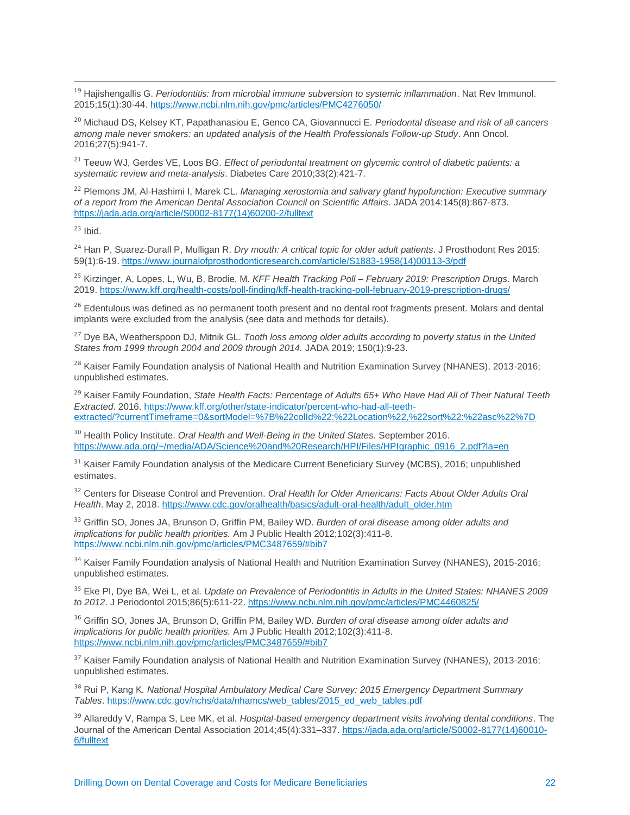<sup>19</sup> Hajishengallis G. *Periodontitis: from microbial immune subversion to systemic inflammation*. Nat Rev Immunol. 2015;15(1):30-44. <https://www.ncbi.nlm.nih.gov/pmc/articles/PMC4276050/>

<sup>20</sup> Michaud DS, Kelsey KT, Papathanasiou E, Genco CA, Giovannucci E. *Periodontal disease and risk of all cancers among male never smokers: an updated analysis of the Health Professionals Follow-up Study*. Ann Oncol. 2016;27(5):941-7.

<sup>21</sup> Teeuw WJ, Gerdes VE, Loos BG. *Effect of periodontal treatment on glycemic control of diabetic patients: a systematic review and meta-analysis*. Diabetes Care 2010;33(2):421-7.

<sup>22</sup> Plemons JM, Al-Hashimi I, Marek CL. *Managing xerostomia and salivary gland hypofunction: Executive summary of a report from the American Dental Association Council on Scientific Affairs*. JADA 2014:145(8):867-873. [https://jada.ada.org/article/S0002-8177\(14\)60200-2/fulltext](https://jada.ada.org/article/S0002-8177(14)60200-2/fulltext)

 $23$  Ibid.

 $\overline{a}$ 

<sup>24</sup> Han P, Suarez-Durall P, Mulligan R. *Dry mouth: A critical topic for older adult patients*. J Prosthodont Res 2015: 59(1):6-19[. https://www.journalofprosthodonticresearch.com/article/S1883-1958\(14\)00113-3/pdf](https://www.journalofprosthodonticresearch.com/article/S1883-1958(14)00113-3/pdf)

<sup>25</sup> Kirzinger, A, Lopes, L, Wu, B, Brodie, M. *KFF Health Tracking Poll – February 2019: Prescription Drugs.* March 2019.<https://www.kff.org/health-costs/poll-finding/kff-health-tracking-poll-february-2019-prescription-drugs/>

<sup>26</sup> Edentulous was defined as no permanent tooth present and no dental root fragments present. Molars and dental implants were excluded from the analysis (see data and methods for details).

<sup>27</sup> Dye BA, Weatherspoon DJ, Mitnik GL. *Tooth loss among older adults according to poverty status in the United States from 1999 through 2004 and 2009 through 2014.* JADA 2019; 150(1):9-23.

<sup>28</sup> Kaiser Family Foundation analysis of National Health and Nutrition Examination Survey (NHANES), 2013-2016; unpublished estimates.

<sup>29</sup> Kaiser Family Foundation, *State Health Facts: Percentage of Adults 65+ Who Have Had All of Their Natural Teeth Extracted*. 2016. [https://www.kff.org/other/state-indicator/percent-who-had-all-teeth](https://www.kff.org/other/state-indicator/percent-who-had-all-teeth-extracted/?currentTimeframe=0&sortModel=%7B%22colId%22:%22Location%22,%22sort%22:%22asc%22%7D)[extracted/?currentTimeframe=0&sortModel=%7B%22colId%22:%22Location%22,%22sort%22:%22asc%22%7D](https://www.kff.org/other/state-indicator/percent-who-had-all-teeth-extracted/?currentTimeframe=0&sortModel=%7B%22colId%22:%22Location%22,%22sort%22:%22asc%22%7D)

<sup>30</sup> Health Policy Institute. *Oral Health and Well-Being in the United States*. September 2016. [https://www.ada.org/~/media/ADA/Science%20and%20Research/HPI/Files/HPIgraphic\\_0916\\_2.pdf?la=en](https://www.ada.org/~/media/ADA/Science%20and%20Research/HPI/Files/HPIgraphic_0916_2.pdf?la=en)

<sup>31</sup> Kaiser Family Foundation analysis of the Medicare Current Beneficiary Survey (MCBS), 2016; unpublished estimates.

<sup>32</sup> Centers for Disease Control and Prevention. Oral Health for Older Americans: Facts About Older Adults Oral *Health*. May 2, 2018[. https://www.cdc.gov/oralhealth/basics/adult-oral-health/adult\\_older.htm](https://www.cdc.gov/oralhealth/basics/adult-oral-health/adult_older.htm)

<sup>33</sup> Griffin SO, Jones JA, Brunson D, Griffin PM, Bailey WD. *Burden of oral disease among older adults and implications for public health priorities.* Am J Public Health 2012;102(3):411-8. <https://www.ncbi.nlm.nih.gov/pmc/articles/PMC3487659/#bib7>

<sup>34</sup> Kaiser Family Foundation analysis of National Health and Nutrition Examination Survey (NHANES), 2015-2016; unpublished estimates.

<sup>35</sup> Eke PI, Dye BA, Wei L, et al. *Update on Prevalence of Periodontitis in Adults in the United States: NHANES 2009 to 2012*. J Periodontol 2015;86(5):611-22. <https://www.ncbi.nlm.nih.gov/pmc/articles/PMC4460825/>

<sup>36</sup> Griffin SO, Jones JA, Brunson D, Griffin PM, Bailey WD. *Burden of oral disease among older adults and implications for public health priorities.* Am J Public Health 2012;102(3):411-8. <https://www.ncbi.nlm.nih.gov/pmc/articles/PMC3487659/#bib7>

<sup>37</sup> Kaiser Family Foundation analysis of National Health and Nutrition Examination Survey (NHANES), 2013-2016; unpublished estimates.

<sup>38</sup> Rui P, Kang K*. National Hospital Ambulatory Medical Care Survey: 2015 Emergency Department Summary Tables*. [https://www.cdc.gov/nchs/data/nhamcs/web\\_tables/2015\\_ed\\_web\\_tables.pdf](https://www.cdc.gov/nchs/data/nhamcs/web_tables/2015_ed_web_tables.pdf)

<sup>39</sup> Allareddy V, Rampa S, Lee MK, et al. *Hospital-based emergency department visits involving dental conditions*. The Journal of the American Dental Association 2014;45(4):331–337. [https://jada.ada.org/article/S0002-8177\(14\)60010-](https://jada.ada.org/article/S0002-8177(14)60010-6/fulltext) [6/fulltext](https://jada.ada.org/article/S0002-8177(14)60010-6/fulltext)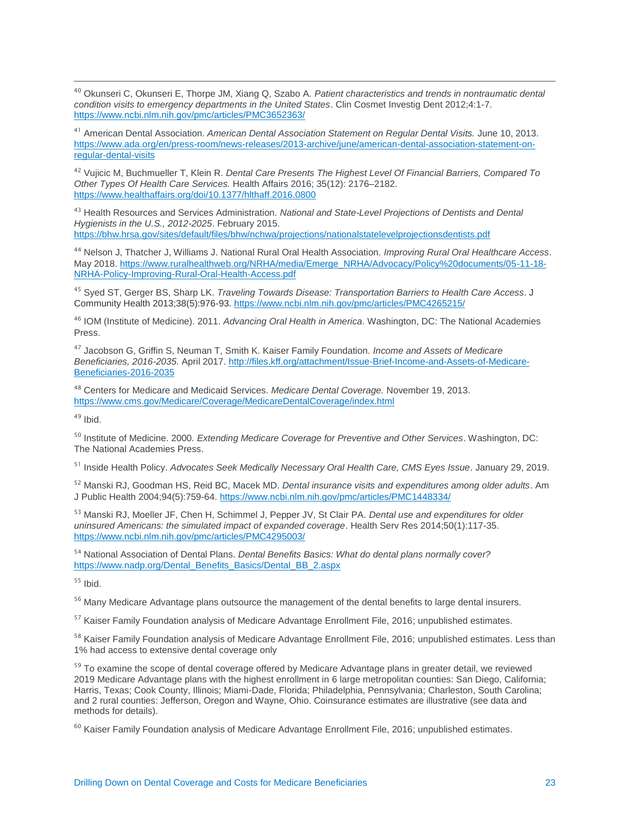<sup>40</sup> Okunseri C, Okunseri E, Thorpe JM, Xiang Q, Szabo A. *Patient characteristics and trends in nontraumatic dental condition visits to emergency departments in the United States*. Clin Cosmet Investig Dent 2012;4:1-7. <https://www.ncbi.nlm.nih.gov/pmc/articles/PMC3652363/>

<sup>41</sup> American Dental Association. *American Dental Association Statement on Regular Dental Visits.* June 10, 2013. [https://www.ada.org/en/press-room/news-releases/2013-archive/june/american-dental-association-statement-on](https://www.ada.org/en/press-room/news-releases/2013-archive/june/american-dental-association-statement-on-regular-dental-visits)[regular-dental-visits](https://www.ada.org/en/press-room/news-releases/2013-archive/june/american-dental-association-statement-on-regular-dental-visits)

<sup>42</sup> Vujicic M, Buchmueller T, Klein R. *Dental Care Presents The Highest Level Of Financial Barriers, Compared To Other Types Of Health Care Services.* Health Affairs 2016; 35(12): 2176–2182. <https://www.healthaffairs.org/doi/10.1377/hlthaff.2016.0800>

<sup>43</sup> Health Resources and Services Administration. *National and State-Level Projections of Dentists and Dental Hygienists in the U.S., 2012-2025*. February 2015.

<https://bhw.hrsa.gov/sites/default/files/bhw/nchwa/projections/nationalstatelevelprojectionsdentists.pdf>

<sup>44</sup> Nelson J, Thatcher J, Williams J. National Rural Oral Health Association. *Improving Rural Oral Healthcare Access*. May 2018[. https://www.ruralhealthweb.org/NRHA/media/Emerge\\_NRHA/Advocacy/Policy%20documents/05-11-18-](https://www.ruralhealthweb.org/NRHA/media/Emerge_NRHA/Advocacy/Policy%20documents/05-11-18-NRHA-Policy-Improving-Rural-Oral-Health-Access.pdf) [NRHA-Policy-Improving-Rural-Oral-Health-Access.pdf](https://www.ruralhealthweb.org/NRHA/media/Emerge_NRHA/Advocacy/Policy%20documents/05-11-18-NRHA-Policy-Improving-Rural-Oral-Health-Access.pdf)

<sup>45</sup> Syed ST, Gerger BS, Sharp LK. *Traveling Towards Disease: Transportation Barriers to Health Care Access*. J Community Health 2013;38(5):976-93. <https://www.ncbi.nlm.nih.gov/pmc/articles/PMC4265215/>

<sup>46</sup> IOM (Institute of Medicine). 2011. *Advancing Oral Health in America*. Washington, DC: The National Academies Press.

<sup>47</sup> Jacobson G, Griffin S, Neuman T, Smith K. Kaiser Family Foundation. *Income and Assets of Medicare Beneficiaries, 2016-2035.* April 2017. [http://files.kff.org/attachment/Issue-Brief-Income-and-Assets-of-Medicare-](http://files.kff.org/attachment/Issue-Brief-Income-and-Assets-of-Medicare-Beneficiaries-2016-2035)[Beneficiaries-2016-2035](http://files.kff.org/attachment/Issue-Brief-Income-and-Assets-of-Medicare-Beneficiaries-2016-2035)

<sup>48</sup> Centers for Medicare and Medicaid Services. *Medicare Dental Coverage.* November 19, 2013. <https://www.cms.gov/Medicare/Coverage/MedicareDentalCoverage/index.html>

 $49$  Ibid.

 $\overline{a}$ 

<sup>50</sup> Institute of Medicine. 2000*. Extending Medicare Coverage for Preventive and Other Services*. Washington, DC: The National Academies Press.

<sup>51</sup> Inside Health Policy. *Advocates Seek Medically Necessary Oral Health Care, CMS Eyes Issue*. January 29, 2019.

<sup>52</sup> Manski RJ, Goodman HS, Reid BC, Macek MD. *Dental insurance visits and expenditures among older adults*. Am J Public Health 2004;94(5):759-64. <https://www.ncbi.nlm.nih.gov/pmc/articles/PMC1448334/>

<sup>53</sup> Manski RJ, Moeller JF, Chen H, Schimmel J, Pepper JV, St Clair PA. *Dental use and expenditures for older uninsured Americans: the simulated impact of expanded coverage*. Health Serv Res 2014;50(1):117-35. <https://www.ncbi.nlm.nih.gov/pmc/articles/PMC4295003/>

<sup>54</sup> National Association of Dental Plans. *Dental Benefits Basics: What do dental plans normally cover?* [https://www.nadp.org/Dental\\_Benefits\\_Basics/Dental\\_BB\\_2.aspx](https://www.nadp.org/Dental_Benefits_Basics/Dental_BB_2.aspx)

<sup>55</sup> Ibid.

<sup>56</sup> Many Medicare Advantage plans outsource the management of the dental benefits to large dental insurers.

<sup>57</sup> Kaiser Family Foundation analysis of Medicare Advantage Enrollment File, 2016; unpublished estimates.

<sup>58</sup> Kaiser Family Foundation analysis of Medicare Advantage Enrollment File, 2016; unpublished estimates. Less than 1% had access to extensive dental coverage only

<sup>59</sup> To examine the scope of dental coverage offered by Medicare Advantage plans in greater detail, we reviewed 2019 Medicare Advantage plans with the highest enrollment in 6 large metropolitan counties: San Diego, California; Harris, Texas; Cook County, Illinois; Miami-Dade, Florida; Philadelphia, Pennsylvania; Charleston, South Carolina; and 2 rural counties: Jefferson, Oregon and Wayne, Ohio. Coinsurance estimates are illustrative (see data and methods for details).

 $60$  Kaiser Family Foundation analysis of Medicare Advantage Enrollment File, 2016; unpublished estimates.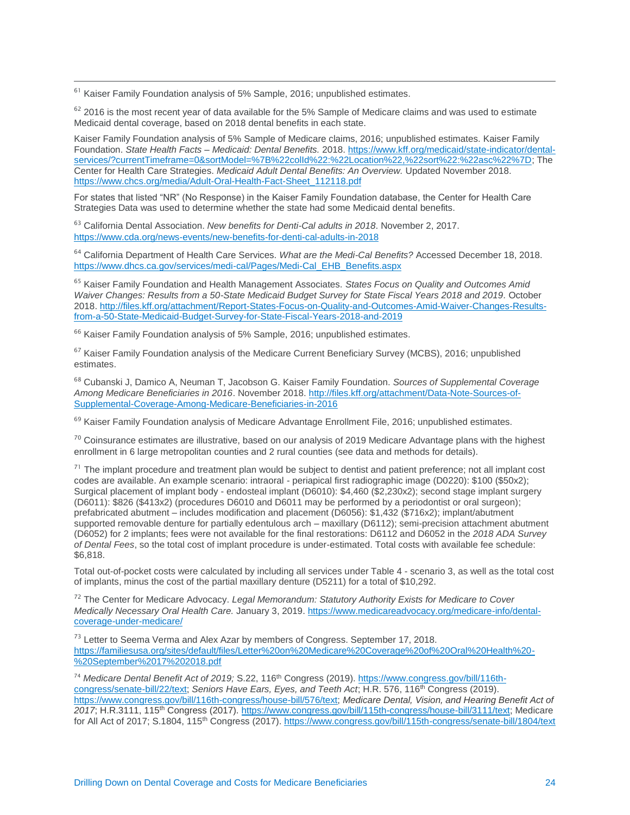$61$  Kaiser Family Foundation analysis of 5% Sample, 2016; unpublished estimates.

 $\overline{a}$ 

 $62$  2016 is the most recent year of data available for the 5% Sample of Medicare claims and was used to estimate Medicaid dental coverage, based on 2018 dental benefits in each state.

Kaiser Family Foundation analysis of 5% Sample of Medicare claims, 2016; unpublished estimates. Kaiser Family Foundation. *State Health Facts – Medicaid: Dental Benefits.* 2018. [https://www.kff.org/medicaid/state-indicator/dental](https://www.kff.org/medicaid/state-indicator/dental-services/?currentTimeframe=0&sortModel=%7B%22colId%22:%22Location%22,%22sort%22:%22asc%22%7D)[services/?currentTimeframe=0&sortModel=%7B%22colId%22:%22Location%22,%22sort%22:%22asc%22%7D;](https://www.kff.org/medicaid/state-indicator/dental-services/?currentTimeframe=0&sortModel=%7B%22colId%22:%22Location%22,%22sort%22:%22asc%22%7D) The Center for Health Care Strategies. *Medicaid Adult Dental Benefits: An Overview.* Updated November 2018. [https://www.chcs.org/media/Adult-Oral-Health-Fact-Sheet\\_112118.pdf](https://www.chcs.org/media/Adult-Oral-Health-Fact-Sheet_112118.pdf)

For states that listed "NR" (No Response) in the Kaiser Family Foundation database, the Center for Health Care Strategies Data was used to determine whether the state had some Medicaid dental benefits.

<sup>63</sup> California Dental Association. *New benefits for Denti-Cal adults in 2018*. November 2, 2017. <https://www.cda.org/news-events/new-benefits-for-denti-cal-adults-in-2018>

<sup>64</sup> California Department of Health Care Services. *What are the Medi-Cal Benefits?* Accessed December 18, 2018. [https://www.dhcs.ca.gov/services/medi-cal/Pages/Medi-Cal\\_EHB\\_Benefits.aspx](https://www.dhcs.ca.gov/services/medi-cal/Pages/Medi-Cal_EHB_Benefits.aspx)

<sup>65</sup> Kaiser Family Foundation and Health Management Associates. *States Focus on Quality and Outcomes Amid Waiver Changes: Results from a 50-State Medicaid Budget Survey for State Fiscal Years 2018 and 2019.* October 2018. [http://files.kff.org/attachment/Report-States-Focus-on-Quality-and-Outcomes-Amid-Waiver-Changes-Results](http://files.kff.org/attachment/Report-States-Focus-on-Quality-and-Outcomes-Amid-Waiver-Changes-Results-from-a-50-State-Medicaid-Budget-Survey-for-State-Fiscal-Years-2018-and-2019)[from-a-50-State-Medicaid-Budget-Survey-for-State-Fiscal-Years-2018-and-2019](http://files.kff.org/attachment/Report-States-Focus-on-Quality-and-Outcomes-Amid-Waiver-Changes-Results-from-a-50-State-Medicaid-Budget-Survey-for-State-Fiscal-Years-2018-and-2019)

<sup>66</sup> Kaiser Family Foundation analysis of 5% Sample, 2016; unpublished estimates.

 $67$  Kaiser Family Foundation analysis of the Medicare Current Beneficiary Survey (MCBS), 2016; unpublished estimates.

<sup>68</sup> Cubanski J, Damico A, Neuman T, Jacobson G. Kaiser Family Foundation. *Sources of Supplemental Coverage Among Medicare Beneficiaries in 2016*. November 2018. [http://files.kff.org/attachment/Data-Note-Sources-of-](http://files.kff.org/attachment/Data-Note-Sources-of-Supplemental-Coverage-Among-Medicare-Beneficiaries-in-2016)[Supplemental-Coverage-Among-Medicare-Beneficiaries-in-2016](http://files.kff.org/attachment/Data-Note-Sources-of-Supplemental-Coverage-Among-Medicare-Beneficiaries-in-2016)

 $69$  Kaiser Family Foundation analysis of Medicare Advantage Enrollment File, 2016; unpublished estimates.

 $70$  Coinsurance estimates are illustrative, based on our analysis of 2019 Medicare Advantage plans with the highest enrollment in 6 large metropolitan counties and 2 rural counties (see data and methods for details).

 $71$  The implant procedure and treatment plan would be subject to dentist and patient preference; not all implant cost codes are available. An example scenario: intraoral - periapical first radiographic image (D0220): \$100 (\$50x2); Surgical placement of implant body - endosteal implant (D6010): \$4,460 (\$2,230x2); second stage implant surgery (D6011): \$826 (\$413x2) (procedures D6010 and D6011 may be performed by a periodontist or oral surgeon); prefabricated abutment – includes modification and placement (D6056): \$1,432 (\$716x2); implant/abutment supported removable denture for partially edentulous arch – maxillary (D6112); semi-precision attachment abutment (D6052) for 2 implants; fees were not available for the final restorations: D6112 and D6052 in the *2018 ADA Survey of Dental Fees*, so the total cost of implant procedure is under-estimated. Total costs with available fee schedule: \$6,818.

Total out-of-pocket costs were calculated by including all services under Table 4 - scenario 3, as well as the total cost of implants, minus the cost of the partial maxillary denture (D5211) for a total of \$10,292.

<sup>72</sup> The Center for Medicare Advocacy. *Legal Memorandum: Statutory Authority Exists for Medicare to Cover Medically Necessary Oral Health Care.* January 3, 2019. [https://www.medicareadvocacy.org/medicare-info/dental](https://www.medicareadvocacy.org/medicare-info/dental-coverage-under-medicare/)[coverage-under-medicare/](https://www.medicareadvocacy.org/medicare-info/dental-coverage-under-medicare/)

<sup>73</sup> Letter to Seema Verma and Alex Azar by members of Congress. September 17, 2018. [https://familiesusa.org/sites/default/files/Letter%20on%20Medicare%20Coverage%20of%20Oral%20Health%20-](https://familiesusa.org/sites/default/files/Letter%20on%20Medicare%20Coverage%20of%20Oral%20Health%20-%20September%2017%202018.pdf) [%20September%2017%202018.pdf](https://familiesusa.org/sites/default/files/Letter%20on%20Medicare%20Coverage%20of%20Oral%20Health%20-%20September%2017%202018.pdf)

<sup>74</sup> Medicare Dental Benefit Act of 2019; S.22, 116<sup>th</sup> Congress (2019). [https://www.congress.gov/bill/116th](https://www.congress.gov/bill/116th-congress/senate-bill/22/text)[congress/senate-bill/22/text;](https://www.congress.gov/bill/116th-congress/senate-bill/22/text) *Seniors Have Ears, Eyes, and Teeth Act*; H.R. 576, 116<sup>th</sup> Congress (2019). [https://www.congress.gov/bill/116th-congress/house-bill/576/text;](https://www.congress.gov/bill/116th-congress/house-bill/576/text) *Medicare Dental, Vision, and Hearing Benefit Act of 2017*; H.R.3111, 115th Congress (2017). [https://www.congress.gov/bill/115th-congress/house-bill/3111/text;](https://www.congress.gov/bill/115th-congress/house-bill/3111/text) Medicare for All Act of 2017; S.1804, 115th Congress (2017).<https://www.congress.gov/bill/115th-congress/senate-bill/1804/text>